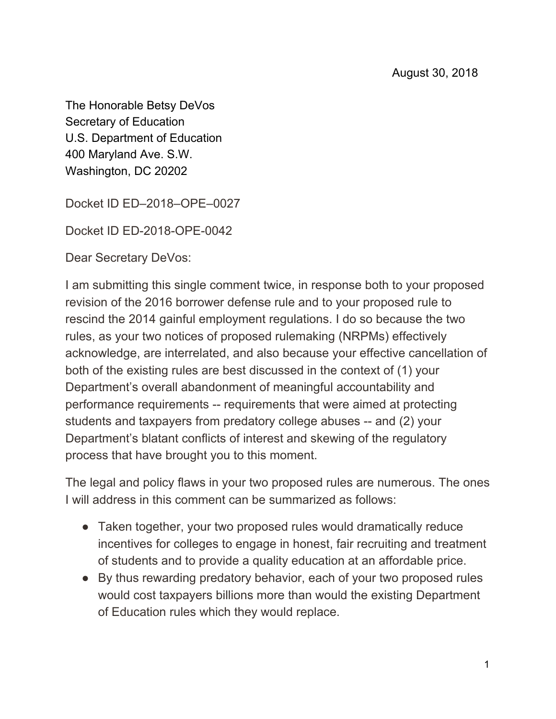The Honorable Betsy DeVos Secretary of Education U.S. Department of Education 400 Maryland Ave. S.W. Washington, DC 20202

Docket ID ED–2018–OPE–0027

Docket ID ED-2018-OPE-0042

Dear Secretary DeVos:

I am submitting this single comment twice, in response both to your proposed revision of the 2016 borrower defense rule and to your proposed rule to rescind the 2014 gainful employment regulations. I do so because the two rules, as your two notices of proposed rulemaking (NRPMs) effectively acknowledge, are interrelated, and also because your effective cancellation of both of the existing rules are best discussed in the context of (1) your Department's overall abandonment of meaningful accountability and performance requirements -- requirements that were aimed at protecting students and taxpayers from predatory college abuses -- and (2) your Department's blatant conflicts of interest and skewing of the regulatory process that have brought you to this moment.

The legal and policy flaws in your two proposed rules are numerous. The ones I will address in this comment can be summarized as follows:

- Taken together, your two proposed rules would dramatically reduce incentives for colleges to engage in honest, fair recruiting and treatment of students and to provide a quality education at an affordable price.
- By thus rewarding predatory behavior, each of your two proposed rules would cost taxpayers billions more than would the existing Department of Education rules which they would replace.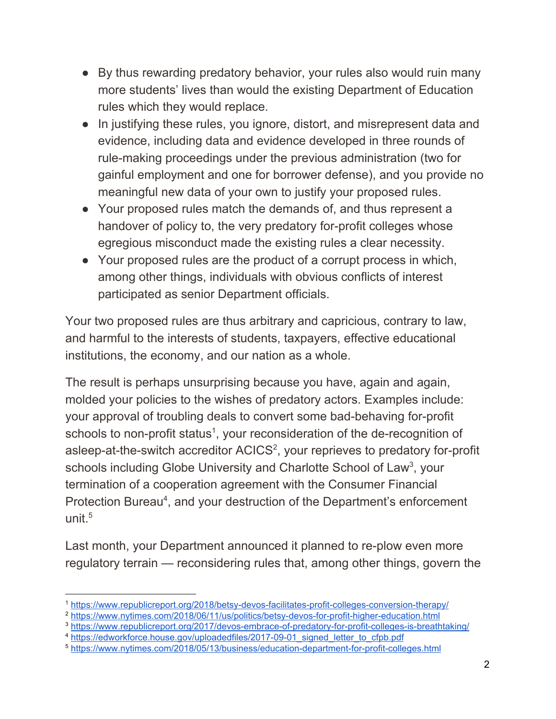- By thus rewarding predatory behavior, your rules also would ruin many more students' lives than would the existing Department of Education rules which they would replace.
- In justifying these rules, you ignore, distort, and misrepresent data and evidence, including data and evidence developed in three rounds of rule-making proceedings under the previous administration (two for gainful employment and one for borrower defense), and you provide no meaningful new data of your own to justify your proposed rules.
- Your proposed rules match the demands of, and thus represent a handover of policy to, the very predatory for-profit colleges whose egregious misconduct made the existing rules a clear necessity.
- Your proposed rules are the product of a corrupt process in which, among other things, individuals with obvious conflicts of interest participated as senior Department officials.

Your two proposed rules are thus arbitrary and capricious, contrary to law, and harmful to the interests of students, taxpayers, effective educational institutions, the economy, and our nation as a whole.

The result is perhaps unsurprising because you have, again and again, molded your policies to the wishes of predatory actors. Examples include: your approval of troubling deals to convert some bad-behaving for-profit schools to non-profit status<sup>1</sup>, your reconsideration of the de-recognition of asleep-at-the-switch accreditor  $ACICS<sup>2</sup>$ , your reprieves to predatory for-profit schools including Globe University and Charlotte School of Law<sup>3</sup>, your termination of a cooperation agreement with the Consumer Financial Protection Bureau<sup>4</sup>, and your destruction of the Department's enforcement unit.<sup>5</sup>

Last month, your Department announced it planned to re-plow even more regulatory terrain — reconsidering rules that, among other things, govern the

<sup>1</sup> <https://www.republicreport.org/2018/betsy-devos-facilitates-profit-colleges-conversion-therapy/>

<sup>2</sup> <https://www.nytimes.com/2018/06/11/us/politics/betsy-devos-for-profit-higher-education.html>

<sup>3</sup> <https://www.republicreport.org/2017/devos-embrace-of-predatory-for-profit-colleges-is-breathtaking/>

<sup>&</sup>lt;sup>4</sup> [https://edworkforce.house.gov/uploadedfiles/2017-09-01\\_signed\\_letter\\_to\\_cfpb.pdf](https://edworkforce.house.gov/uploadedfiles/2017-09-01_signed_letter_to_cfpb.pdf)

<sup>5</sup> <https://www.nytimes.com/2018/05/13/business/education-department-for-profit-colleges.html>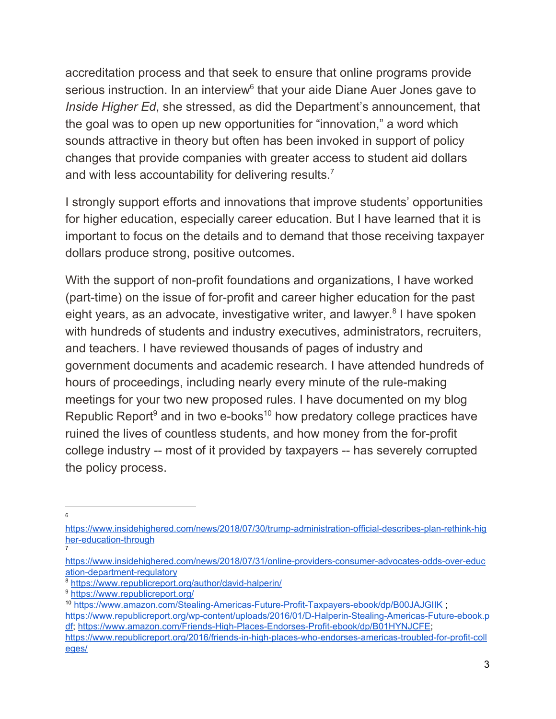accreditation process and that seek to ensure that online programs provide serious instruction. In an interview $6$  that your aide Diane Auer Jones gave to *Inside Higher Ed*, she stressed, as did the Department's announcement, that the goal was to open up new opportunities for "innovation," a word which sounds attractive in theory but often has been invoked in support of policy changes that provide companies with greater access to student aid dollars and with less accountability for delivering results.<sup>7</sup>

I strongly support efforts and innovations that improve students' opportunities for higher education, especially career education. But I have learned that it is important to focus on the details and to demand that those receiving taxpayer dollars produce strong, positive outcomes.

With the support of non-profit foundations and organizations, I have worked (part-time) on the issue of for-profit and career higher education for the past eight years, as an advocate, investigative writer, and lawyer.<sup>8</sup> I have spoken with hundreds of students and industry executives, administrators, recruiters, and teachers. I have reviewed thousands of pages of industry and government documents and academic research. I have attended hundreds of hours of proceedings, including nearly every minute of the rule-making meetings for your two new proposed rules. I have documented on my blog Republic Report<sup>9</sup> and in two e-books<sup>10</sup> how predatory college practices have ruined the lives of countless students, and how money from the for-profit college industry -- most of it provided by taxpayers -- has severely corrupted the policy process.

[https://www.insidehighered.com/news/2018/07/30/trump-administration-official-describes-plan-rethink-hig](https://www.insidehighered.com/news/2018/07/30/trump-administration-official-describes-plan-rethink-higher-education-through) [her-education-through](https://www.insidehighered.com/news/2018/07/30/trump-administration-official-describes-plan-rethink-higher-education-through) 7

[https://www.insidehighered.com/news/2018/07/31/online-providers-consumer-advocates-odds-over-educ](https://www.insidehighered.com/news/2018/07/31/online-providers-consumer-advocates-odds-over-education-department-regulatory) [ation-department-regulatory](https://www.insidehighered.com/news/2018/07/31/online-providers-consumer-advocates-odds-over-education-department-regulatory)

<sup>8</sup> <https://www.republicreport.org/author/david-halperin/>

<sup>9</sup> <https://www.republicreport.org/>

<sup>10</sup> <https://www.amazon.com/Stealing-Americas-Future-Profit-Taxpayers-ebook/dp/B00JAJGIIK> ;

[https://www.republicreport.org/wp-content/uploads/2016/01/D-Halperin-Stealing-Americas-Future-ebook.p](https://www.republicreport.org/wp-content/uploads/2016/01/D-Halperin-Stealing-Americas-Future-ebook.pdf) [df](https://www.republicreport.org/wp-content/uploads/2016/01/D-Halperin-Stealing-Americas-Future-ebook.pdf); <https://www.amazon.com/Friends-High-Places-Endorses-Profit-ebook/dp/B01HYNJCFE>; [https://www.republicreport.org/2016/friends-in-high-places-who-endorses-americas-troubled-for-profit-coll](https://www.republicreport.org/2016/friends-in-high-places-who-endorses-americas-troubled-for-profit-colleges/)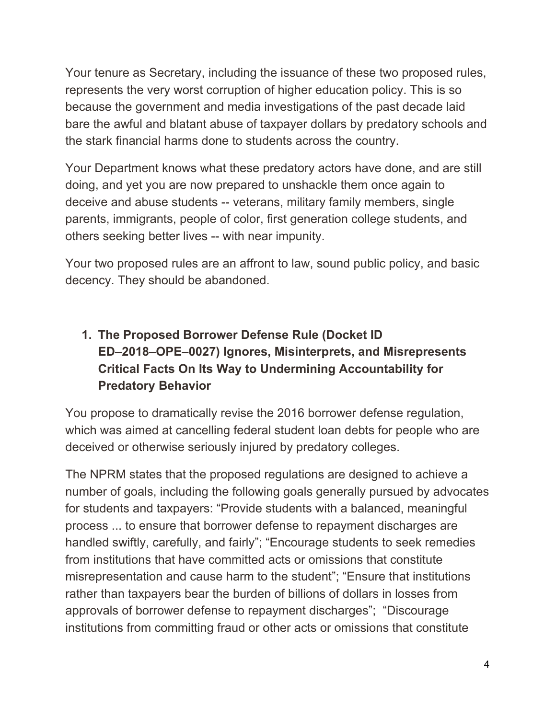Your tenure as Secretary, including the issuance of these two proposed rules, represents the very worst corruption of higher education policy. This is so because the government and media investigations of the past decade laid bare the awful and blatant abuse of taxpayer dollars by predatory schools and the stark financial harms done to students across the country.

Your Department knows what these predatory actors have done, and are still doing, and yet you are now prepared to unshackle them once again to deceive and abuse students -- veterans, military family members, single parents, immigrants, people of color, first generation college students, and others seeking better lives -- with near impunity.

Your two proposed rules are an affront to law, sound public policy, and basic decency. They should be abandoned.

## **1. The Proposed Borrower Defense Rule (Docket ID ED–2018–OPE–0027) Ignores, Misinterprets, and Misrepresents Critical Facts On Its Way to Undermining Accountability for Predatory Behavior**

You propose to dramatically revise the 2016 borrower defense regulation, which was aimed at cancelling federal student loan debts for people who are deceived or otherwise seriously injured by predatory colleges.

The NPRM states that the proposed regulations are designed to achieve a number of goals, including the following goals generally pursued by advocates for students and taxpayers: "Provide students with a balanced, meaningful process ... to ensure that borrower defense to repayment discharges are handled swiftly, carefully, and fairly"; "Encourage students to seek remedies from institutions that have committed acts or omissions that constitute misrepresentation and cause harm to the student"; "Ensure that institutions rather than taxpayers bear the burden of billions of dollars in losses from approvals of borrower defense to repayment discharges"; "Discourage institutions from committing fraud or other acts or omissions that constitute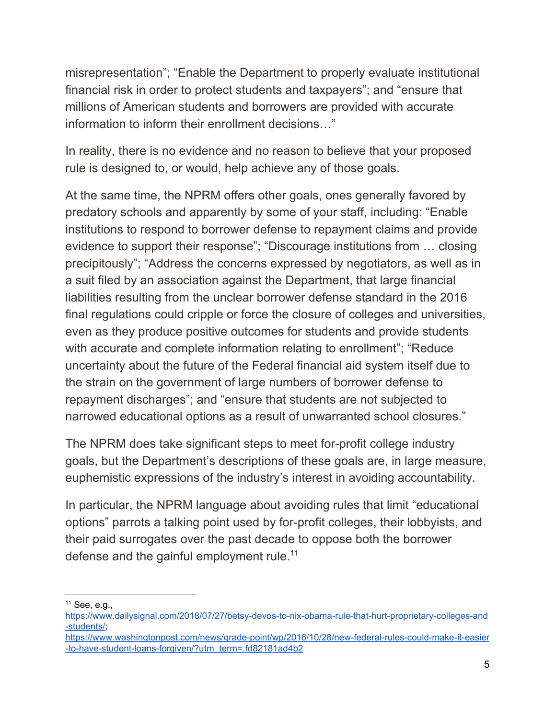misrepresentation"; "Enable the Department to properly evaluate institutional financial risk in order to protect students and taxpayers"; and "ensure that millions of American students and borrowers are provided with accurate information to inform their enrollment decisions…"

In reality, there is no evidence and no reason to believe that your proposed rule is designed to, or would, help achieve any of those goals.

At the same time, the NPRM offers other goals, ones generally favored by predatory schools and apparently by some of your staff, including: "Enable institutions to respond to borrower defense to repayment claims and provide evidence to support their response"; "Discourage institutions from … closing precipitously"; "Address the concerns expressed by negotiators, as well as in a suit filed by an association against the Department, that large financial liabilities resulting from the unclear borrower defense standard in the 2016 final regulations could cripple or force the closure of colleges and universities, even as they produce positive outcomes for students and provide students with accurate and complete information relating to enrollment"; "Reduce uncertainty about the future of the Federal financial aid system itself due to the strain on the government of large numbers of borrower defense to repayment discharges"; and "ensure that students are not subjected to narrowed educational options as a result of unwarranted school closures."

The NPRM does take significant steps to meet for-profit college industry goals, but the Department's descriptions of these goals are, in large measure, euphemistic expressions of the industry's interest in avoiding accountability.

In particular, the NPRM language about avoiding rules that limit "educational options" parrots a talking point used by for-profit colleges, their lobbyists, and their paid surrogates over the past decade to oppose both the borrower defense and the gainful employment rule.<sup>11</sup>

<sup>11</sup> See, e.g.,

[https://www.dailysignal.com/2018/07/27/betsy-devos-to-nix-obama-rule-that-hurt-proprietary-colleges-and](https://www.dailysignal.com/2018/07/27/betsy-devos-to-nix-obama-rule-that-hurt-proprietary-colleges-and-students/) [-students/;](https://www.dailysignal.com/2018/07/27/betsy-devos-to-nix-obama-rule-that-hurt-proprietary-colleges-and-students/)

[https://www.washingtonpost.com/news/grade-point/wp/2016/10/28/new-federal-rules-could-make-it-easier](https://www.washingtonpost.com/news/grade-point/wp/2016/10/28/new-federal-rules-could-make-it-easier-to-have-student-loans-forgiven/?utm_term=.fd82181ad4b2) [-to-have-student-loans-forgiven/?utm\\_term=.fd82181ad4b2](https://www.washingtonpost.com/news/grade-point/wp/2016/10/28/new-federal-rules-could-make-it-easier-to-have-student-loans-forgiven/?utm_term=.fd82181ad4b2)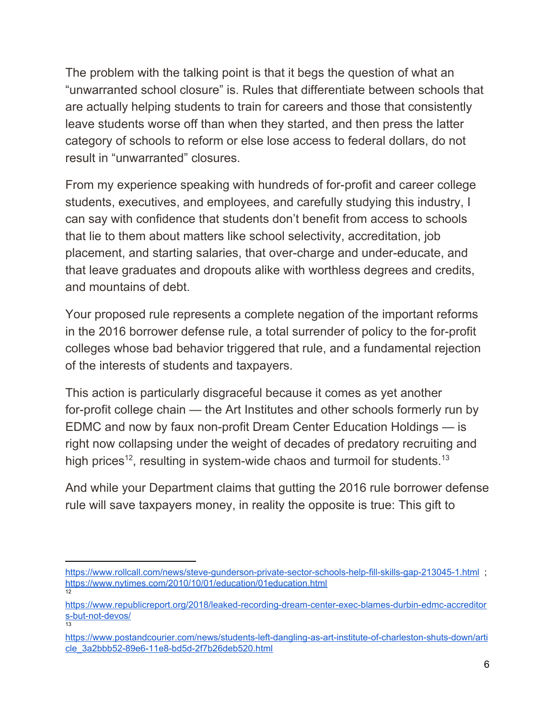The problem with the talking point is that it begs the question of what an "unwarranted school closure" is. Rules that differentiate between schools that are actually helping students to train for careers and those that consistently leave students worse off than when they started, and then press the latter category of schools to reform or else lose access to federal dollars, do not result in "unwarranted" closures.

From my experience speaking with hundreds of for-profit and career college students, executives, and employees, and carefully studying this industry, I can say with confidence that students don't benefit from access to schools that lie to them about matters like school selectivity, accreditation, job placement, and starting salaries, that over-charge and under-educate, and that leave graduates and dropouts alike with worthless degrees and credits, and mountains of debt.

Your proposed rule represents a complete negation of the important reforms in the 2016 borrower defense rule, a total surrender of policy to the for-profit colleges whose bad behavior triggered that rule, and a fundamental rejection of the interests of students and taxpayers.

This action is particularly disgraceful because it comes as yet another for-profit college chain — the Art Institutes and other schools formerly run by EDMC and now by faux non-profit Dream Center Education Holdings — is right now collapsing under the weight of decades of predatory recruiting and high prices<sup>12</sup>, resulting in system-wide chaos and turmoil for students.<sup>13</sup>

And while your Department claims that gutting the 2016 rule borrower defense rule will save taxpayers money, in reality the opposite is true: This gift to

<https://www.rollcall.com/news/steve-gunderson-private-sector-schools-help-fill-skills-gap-213045-1.html>; <https://www.nytimes.com/2010/10/01/education/01education.html> 12

[https://www.republicreport.org/2018/leaked-recording-dream-center-exec-blames-durbin-edmc-accreditor](https://www.republicreport.org/2018/leaked-recording-dream-center-exec-blames-durbin-edmc-accreditors-but-not-devos/) [s-but-not-devos/](https://www.republicreport.org/2018/leaked-recording-dream-center-exec-blames-durbin-edmc-accreditors-but-not-devos/) 13

[https://www.postandcourier.com/news/students-left-dangling-as-art-institute-of-charleston-shuts-down/arti](https://www.postandcourier.com/news/students-left-dangling-as-art-institute-of-charleston-shuts-down/article_3a2bbb52-89e6-11e8-bd5d-2f7b26deb520.html) [cle\\_3a2bbb52-89e6-11e8-bd5d-2f7b26deb520.html](https://www.postandcourier.com/news/students-left-dangling-as-art-institute-of-charleston-shuts-down/article_3a2bbb52-89e6-11e8-bd5d-2f7b26deb520.html)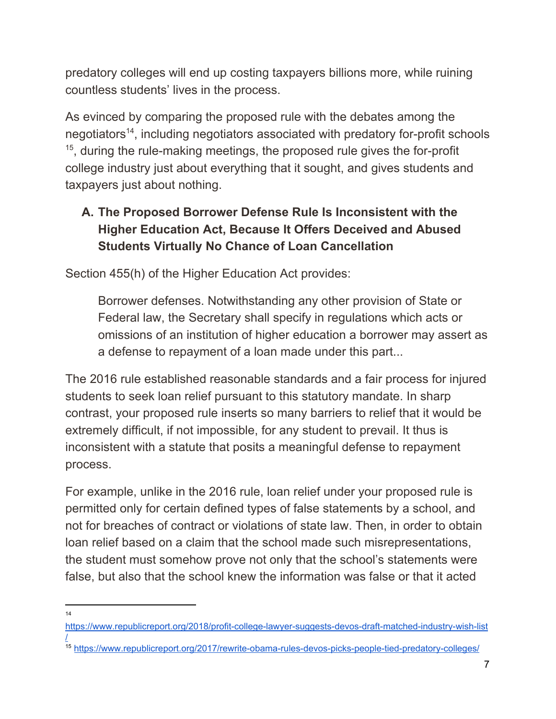predatory colleges will end up costing taxpayers billions more, while ruining countless students' lives in the process.

As evinced by comparing the proposed rule with the debates among the negotiators<sup>14</sup>, including negotiators associated with predatory for-profit schools  $15$ , during the rule-making meetings, the proposed rule gives the for-profit college industry just about everything that it sought, and gives students and taxpayers just about nothing.

# **A. The Proposed Borrower Defense Rule Is Inconsistent with the Higher Education Act, Because It Offers Deceived and Abused Students Virtually No Chance of Loan Cancellation**

Section 455(h) of the Higher Education Act provides:

Borrower defenses. Notwithstanding any other provision of State or Federal law, the Secretary shall specify in regulations which acts or omissions of an institution of higher education a borrower may assert as a defense to repayment of a loan made under this part...

The 2016 rule established reasonable standards and a fair process for injured students to seek loan relief pursuant to this statutory mandate. In sharp contrast, your proposed rule inserts so many barriers to relief that it would be extremely difficult, if not impossible, for any student to prevail. It thus is inconsistent with a statute that posits a meaningful defense to repayment process.

For example, unlike in the 2016 rule, loan relief under your proposed rule is permitted only for certain defined types of false statements by a school, and not for breaches of contract or violations of state law. Then, in order to obtain loan relief based on a claim that the school made such misrepresentations, the student must somehow prove not only that the school's statements were false, but also that the school knew the information was false or that it acted

[https://www.republicreport.org/2018/profit-college-lawyer-suggests-devos-draft-matched-industry-wish-list](https://www.republicreport.org/2018/profit-college-lawyer-suggests-devos-draft-matched-industry-wish-list/) [/](https://www.republicreport.org/2018/profit-college-lawyer-suggests-devos-draft-matched-industry-wish-list/)

<sup>15</sup> <https://www.republicreport.org/2017/rewrite-obama-rules-devos-picks-people-tied-predatory-colleges/>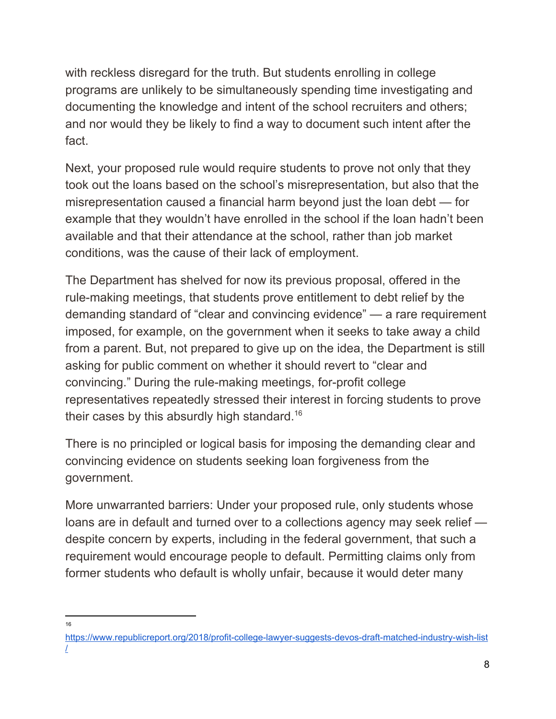with reckless disregard for the truth. But students enrolling in college programs are unlikely to be simultaneously spending time investigating and documenting the knowledge and intent of the school recruiters and others; and nor would they be likely to find a way to document such intent after the fact.

Next, your proposed rule would require students to prove not only that they took out the loans based on the school's misrepresentation, but also that the misrepresentation caused a financial harm beyond just the loan debt — for example that they wouldn't have enrolled in the school if the loan hadn't been available and that their attendance at the school, rather than job market conditions, was the cause of their lack of employment.

The Department has shelved for now its previous proposal, offered in the rule-making meetings, that students prove entitlement to debt relief by the demanding standard of "clear and convincing evidence" — a rare requirement imposed, for example, on the government when it seeks to take away a child from a parent. But, not prepared to give up on the idea, the Department is still asking for public comment on whether it should revert to "clear and convincing." During the rule-making meetings, for-profit college representatives repeatedly stressed their interest in forcing students to prove their cases by this absurdly high standard.<sup>16</sup>

There is no principled or logical basis for imposing the demanding clear and convincing evidence on students seeking loan forgiveness from the government.

More unwarranted barriers: Under your proposed rule, only students whose loans are in default and turned over to a collections agency may seek relief despite concern by experts, including in the federal government, that such a requirement would encourage people to default. Permitting claims only from former students who default is wholly unfair, because it would deter many

<sup>16</sup>

[https://www.republicreport.org/2018/profit-college-lawyer-suggests-devos-draft-matched-industry-wish-list](https://www.republicreport.org/2018/profit-college-lawyer-suggests-devos-draft-matched-industry-wish-list/) [/](https://www.republicreport.org/2018/profit-college-lawyer-suggests-devos-draft-matched-industry-wish-list/)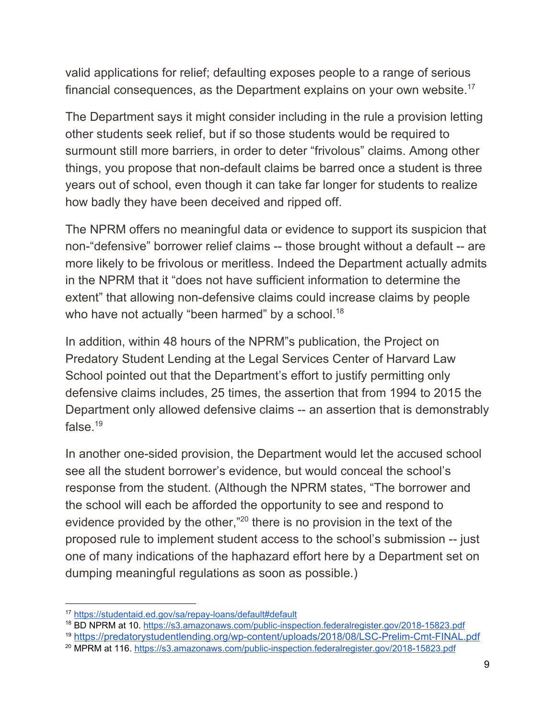valid applications for relief; defaulting exposes people to a range of serious financial consequences, as the Department explains on your own website.<sup>17</sup>

The Department says it might consider including in the rule a provision letting other students seek relief, but if so those students would be required to surmount still more barriers, in order to deter "frivolous" claims. Among other things, you propose that non-default claims be barred once a student is three years out of school, even though it can take far longer for students to realize how badly they have been deceived and ripped off.

The NPRM offers no meaningful data or evidence to support its suspicion that non-"defensive" borrower relief claims -- those brought without a default -- are more likely to be frivolous or meritless. Indeed the Department actually admits in the NPRM that it "does not have sufficient information to determine the extent" that allowing non-defensive claims could increase claims by people who have not actually "been harmed" by a school.<sup>18</sup>

In addition, within 48 hours of the NPRM"s publication, the Project on Predatory Student Lending at the Legal Services Center of Harvard Law School pointed out that the Department's effort to justify permitting only defensive claims includes, 25 times, the assertion that from 1994 to 2015 the Department only allowed defensive claims -- an assertion that is demonstrably false. $19$ 

In another one-sided provision, the Department would let the accused school see all the student borrower's evidence, but would conceal the school's response from the student. (Although the NPRM states, "The borrower and the school will each be afforded the opportunity to see and respond to evidence provided by the other,"<sup>20</sup> there is no provision in the text of the proposed rule to implement student access to the school's submission -- just one of many indications of the haphazard effort here by a Department set on dumping meaningful regulations as soon as possible.)

<sup>19</sup> <https://predatorystudentlending.org/wp-content/uploads/2018/08/LSC-Prelim-Cmt-FINAL.pdf>

<sup>17</sup> <https://studentaid.ed.gov/sa/repay-loans/default#default>

<sup>18</sup> BD NPRM at 10. <https://s3.amazonaws.com/public-inspection.federalregister.gov/2018-15823.pdf>

<sup>20</sup> MPRM at 116. <https://s3.amazonaws.com/public-inspection.federalregister.gov/2018-15823.pdf>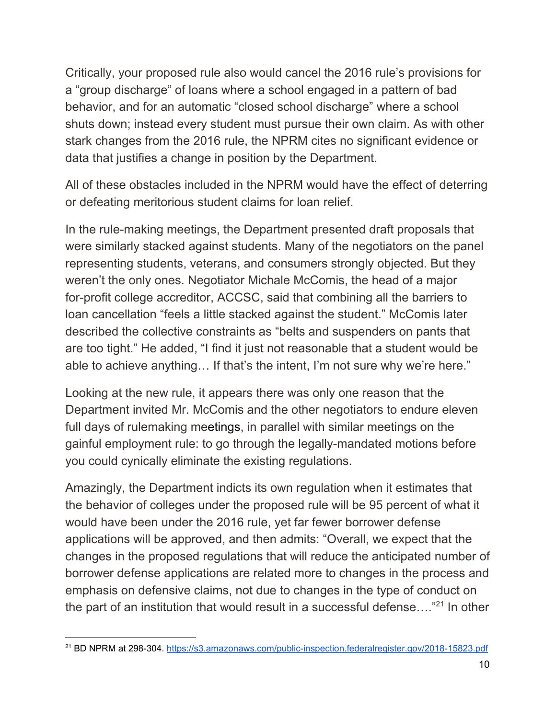Critically, your proposed rule also would cancel the 2016 rule's provisions for a "group discharge" of loans where a school engaged in a pattern of bad behavior, and for an automatic "closed school discharge" where a school shuts down; instead every student must pursue their own claim. As with other stark changes from the 2016 rule, the NPRM cites no significant evidence or data that justifies a change in position by the Department.

All of these obstacles included in the NPRM would have the effect of deterring or defeating meritorious student claims for loan relief.

In the rule-making meetings, the Department presented draft proposals that were similarly stacked against students. Many of the negotiators on the panel representing students, veterans, and consumers strongly objected. But they weren't the only ones. Negotiator Michale McComis, the head of a major for-profit college accreditor, ACCSC, said that combining all the barriers to loan cancellation "feels a little stacked against the student." McComis later described the collective constraints as "belts and suspenders on pants that are too tight." He added, "I find it just not reasonable that a student would be able to achieve anything… If that's the intent, I'm not sure why we're here."

Looking at the new rule, it appears there was only one reason that the Department invited Mr. McComis and the other negotiators to endure eleven full days of rulemaking meetings, in parallel with similar meetings on the gainful employment rule: to go through the legally-mandated motions before you could cynically eliminate the existing regulations.

Amazingly, the Department indicts its own regulation when it estimates that the behavior of colleges under the proposed rule will be 95 percent of what it would have been under the 2016 rule, yet far fewer borrower defense applications will be approved, and then admits: "Overall, we expect that the changes in the proposed regulations that will reduce the anticipated number of borrower defense applications are related more to changes in the process and emphasis on defensive claims, not due to changes in the type of conduct on the part of an institution that would result in a successful defense.... $"^{21}$  In other

<sup>21</sup> BD NPRM at 298-304. <https://s3.amazonaws.com/public-inspection.federalregister.gov/2018-15823.pdf>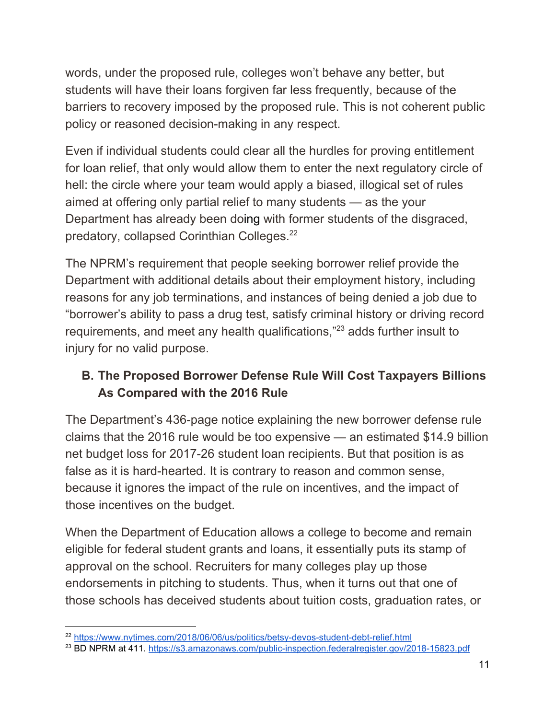words, under the proposed rule, colleges won't behave any better, but students will have their loans forgiven far less frequently, because of the barriers to recovery imposed by the proposed rule. This is not coherent public policy or reasoned decision-making in any respect.

Even if individual students could clear all the hurdles for proving entitlement for loan relief, that only would allow them to enter the next regulatory circle of hell: the circle where your team would apply a biased, illogical set of rules aimed at offering only partial relief to many students — as the your Department has already been doing with former students of the disgraced, predatory, collapsed Corinthian Colleges.<sup>22</sup>

The NPRM's requirement that people seeking borrower relief provide the Department with additional details about their employment history, including reasons for any job terminations, and instances of being denied a job due to "borrower's ability to pass a drug test, satisfy criminal history or driving record requirements, and meet any health qualifications,"<sup>23</sup> adds further insult to injury for no valid purpose.

#### **B. The Proposed Borrower Defense Rule Will Cost Taxpayers Billions As Compared with the 2016 Rule**

The Department's 436-page notice explaining the new borrower defense rule claims that the 2016 rule would be too expensive — an estimated \$14.9 billion net budget loss for 2017-26 student loan recipients. But that position is as false as it is hard-hearted. It is contrary to reason and common sense, because it ignores the impact of the rule on incentives, and the impact of those incentives on the budget.

When the Department of Education allows a college to become and remain eligible for federal student grants and loans, it essentially puts its stamp of approval on the school. Recruiters for many colleges play up those endorsements in pitching to students. Thus, when it turns out that one of those schools has deceived students about tuition costs, graduation rates, or

<sup>&</sup>lt;sup>22</sup> <https://www.nytimes.com/2018/06/06/us/politics/betsy-devos-student-debt-relief.html>

<sup>&</sup>lt;sup>23</sup> BD NPRM at 411. <https://s3.amazonaws.com/public-inspection.federalregister.gov/2018-15823.pdf>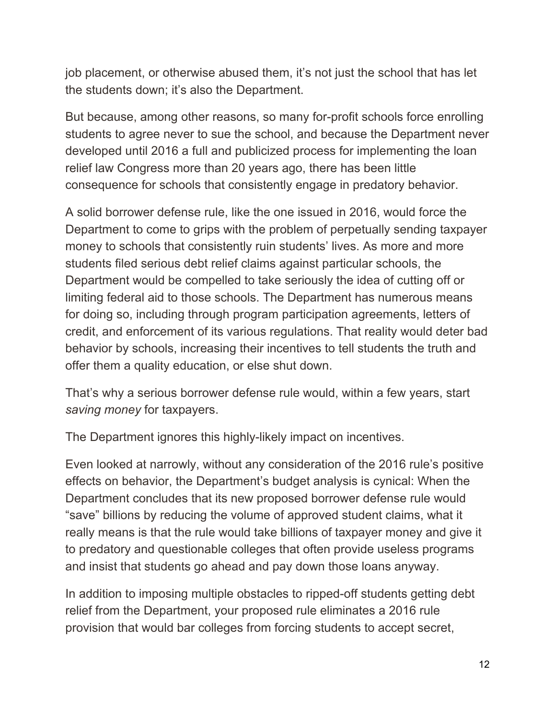job placement, or otherwise abused them, it's not just the school that has let the students down; it's also the Department.

But because, among other reasons, so many for-profit schools force enrolling students to agree never to sue the school, and because the Department never developed until 2016 a full and publicized process for implementing the loan relief law Congress more than 20 years ago, there has been little consequence for schools that consistently engage in predatory behavior.

A solid borrower defense rule, like the one issued in 2016, would force the Department to come to grips with the problem of perpetually sending taxpayer money to schools that consistently ruin students' lives. As more and more students filed serious debt relief claims against particular schools, the Department would be compelled to take seriously the idea of cutting off or limiting federal aid to those schools. The Department has numerous means for doing so, including through program participation agreements, letters of credit, and enforcement of its various regulations. That reality would deter bad behavior by schools, increasing their incentives to tell students the truth and offer them a quality education, or else shut down.

That's why a serious borrower defense rule would, within a few years, start *saving money* for taxpayers.

The Department ignores this highly-likely impact on incentives.

Even looked at narrowly, without any consideration of the 2016 rule's positive effects on behavior, the Department's budget analysis is cynical: When the Department concludes that its new proposed borrower defense rule would "save" billions by reducing the volume of approved student claims, what it really means is that the rule would take billions of taxpayer money and give it to predatory and questionable colleges that often provide useless programs and insist that students go ahead and pay down those loans anyway.

In addition to imposing multiple obstacles to ripped-off students getting debt relief from the Department, your proposed rule eliminates a 2016 rule provision that would bar colleges from forcing students to accept secret,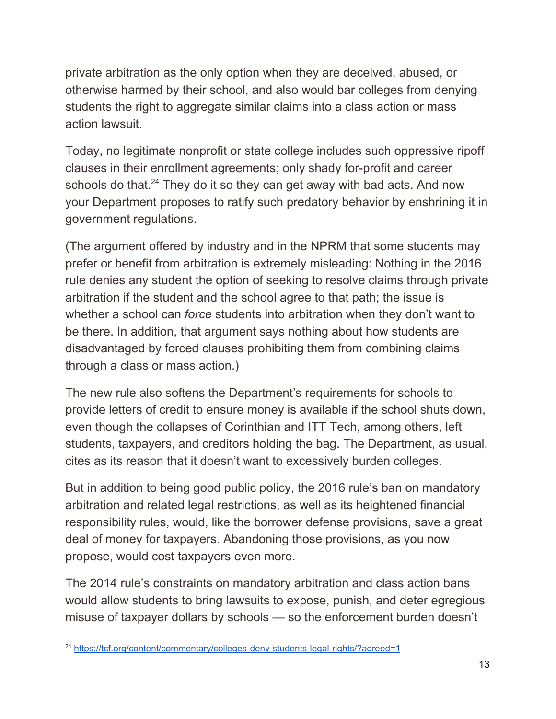private arbitration as the only option when they are deceived, abused, or otherwise harmed by their school, and also would bar colleges from denying students the right to aggregate similar claims into a class action or mass action lawsuit.

Today, no legitimate nonprofit or state college includes such oppressive ripoff clauses in their enrollment agreements; only shady for-profit and career schools do that. $24$  They do it so they can get away with bad acts. And now your Department proposes to ratify such predatory behavior by enshrining it in government regulations.

(The argument offered by industry and in the NPRM that some students may prefer or benefit from arbitration is extremely misleading: Nothing in the 2016 rule denies any student the option of seeking to resolve claims through private arbitration if the student and the school agree to that path; the issue is whether a school can *force* students into arbitration when they don't want to be there. In addition, that argument says nothing about how students are disadvantaged by forced clauses prohibiting them from combining claims through a class or mass action.)

The new rule also softens the Department's requirements for schools to provide letters of credit to ensure money is available if the school shuts down, even though the collapses of Corinthian and ITT Tech, among others, left students, taxpayers, and creditors holding the bag. The Department, as usual, cites as its reason that it doesn't want to excessively burden colleges.

But in addition to being good public policy, the 2016 rule's ban on mandatory arbitration and related legal restrictions, as well as its heightened financial responsibility rules, would, like the borrower defense provisions, save a great deal of money for taxpayers. Abandoning those provisions, as you now propose, would cost taxpayers even more.

The 2014 rule's constraints on mandatory arbitration and class action bans would allow students to bring lawsuits to expose, punish, and deter egregious misuse of taxpayer dollars by schools — so the enforcement burden doesn't

<sup>&</sup>lt;sup>24</sup> <https://tcf.org/content/commentary/colleges-deny-students-legal-rights/?agreed=1>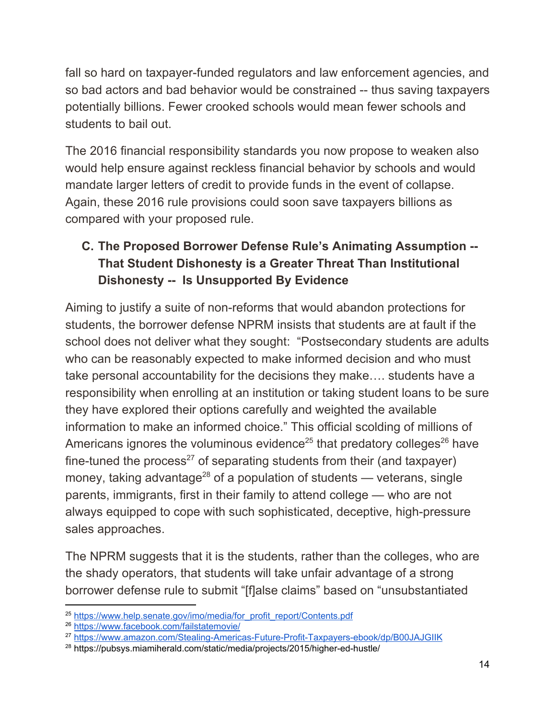fall so hard on taxpayer-funded regulators and law enforcement agencies, and so bad actors and bad behavior would be constrained -- thus saving taxpayers potentially billions. Fewer crooked schools would mean fewer schools and students to bail out.

The 2016 financial responsibility standards you now propose to weaken also would help ensure against reckless financial behavior by schools and would mandate larger letters of credit to provide funds in the event of collapse. Again, these 2016 rule provisions could soon save taxpayers billions as compared with your proposed rule.

# **C. The Proposed Borrower Defense Rule's Animating Assumption -- That Student Dishonesty is a Greater Threat Than Institutional Dishonesty -- Is Unsupported By Evidence**

Aiming to justify a suite of non-reforms that would abandon protections for students, the borrower defense NPRM insists that students are at fault if the school does not deliver what they sought: "Postsecondary students are adults who can be reasonably expected to make informed decision and who must take personal accountability for the decisions they make…. students have a responsibility when enrolling at an institution or taking student loans to be sure they have explored their options carefully and weighted the available information to make an informed choice." This official scolding of millions of Americans ignores the voluminous evidence<sup>25</sup> that predatory colleges<sup>26</sup> have fine-tuned the process<sup>27</sup> of separating students from their (and taxpayer) money, taking advantage<sup>28</sup> of a population of students — veterans, single parents, immigrants, first in their family to attend college — who are not always equipped to cope with such sophisticated, deceptive, high-pressure sales approaches.

The NPRM suggests that it is the students, rather than the colleges, who are the shady operators, that students will take unfair advantage of a strong borrower defense rule to submit "[f]alse claims" based on "unsubstantiated

<sup>&</sup>lt;sup>25</sup> [https://www.help.senate.gov/imo/media/for\\_profit\\_report/Contents.pdf](https://www.help.senate.gov/imo/media/for_profit_report/Contents.pdf)

<sup>26</sup> <https://www.facebook.com/failstatemovie/>

<sup>&</sup>lt;sup>27</sup> <https://www.amazon.com/Stealing-Americas-Future-Profit-Taxpayers-ebook/dp/B00JAJGIIK>

<sup>28</sup> https://pubsys.miamiherald.com/static/media/projects/2015/higher-ed-hustle/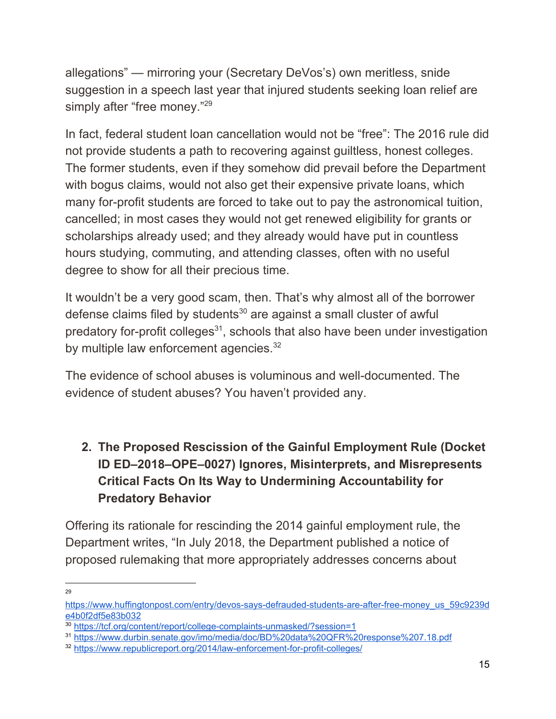allegations" — mirroring your (Secretary DeVos's) own meritless, snide suggestion in a speech last year that injured students seeking loan relief are simply after "free money."<sup>29</sup>

In fact, federal student loan cancellation would not be "free": The 2016 rule did not provide students a path to recovering against guiltless, honest colleges. The former students, even if they somehow did prevail before the Department with bogus claims, would not also get their expensive private loans, which many for-profit students are forced to take out to pay the astronomical tuition, cancelled; in most cases they would not get renewed eligibility for grants or scholarships already used; and they already would have put in countless hours studying, commuting, and attending classes, often with no useful degree to show for all their precious time.

It wouldn't be a very good scam, then. That's why almost all of the borrower defense claims filed by students $30$  are against a small cluster of awful predatory for-profit colleges $31$ , schools that also have been under investigation by multiple law enforcement agencies.<sup>32</sup>

The evidence of school abuses is voluminous and well-documented. The evidence of student abuses? You haven't provided any.

# **2. The Proposed Rescission of the Gainful Employment Rule (Docket ID ED–2018–OPE–0027) Ignores, Misinterprets, and Misrepresents Critical Facts On Its Way to Undermining Accountability for Predatory Behavior**

Offering its rationale for rescinding the 2014 gainful employment rule, the Department writes, "In July 2018, the Department published a notice of proposed rulemaking that more appropriately addresses concerns about

[https://www.huffingtonpost.com/entry/devos-says-defrauded-students-are-after-free-money\\_us\\_59c9239d](https://www.huffingtonpost.com/entry/devos-says-defrauded-students-are-after-free-money_us_59c9239de4b0f2df5e83b032) [e4b0f2df5e83b032](https://www.huffingtonpost.com/entry/devos-says-defrauded-students-are-after-free-money_us_59c9239de4b0f2df5e83b032)

<sup>30</sup> <https://tcf.org/content/report/college-complaints-unmasked/?session=1>

<sup>&</sup>lt;sup>31</sup> <https://www.durbin.senate.gov/imo/media/doc/BD%20data%20QFR%20response%207.18.pdf>

<sup>32</sup> <https://www.republicreport.org/2014/law-enforcement-for-profit-colleges/>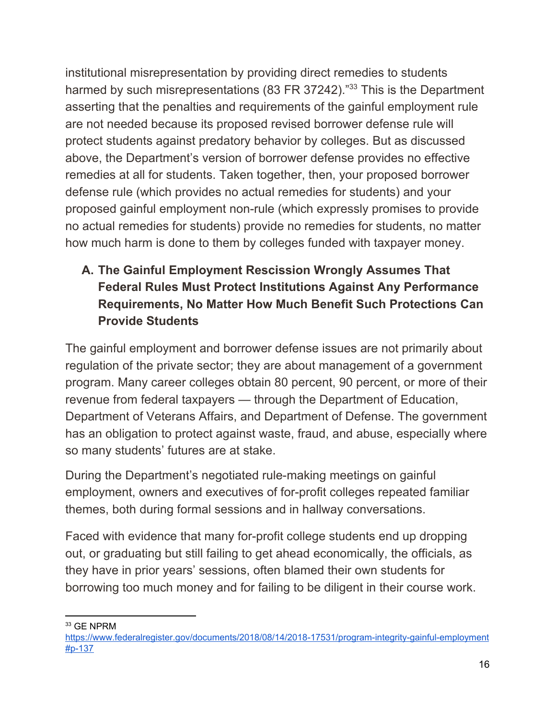institutional misrepresentation by providing direct remedies to students harmed by such misrepresentations (83 FR 37242).<sup>"33</sup> This is the Department asserting that the penalties and requirements of the gainful employment rule are not needed because its proposed revised borrower defense rule will protect students against predatory behavior by colleges. But as discussed above, the Department's version of borrower defense provides no effective remedies at all for students. Taken together, then, your proposed borrower defense rule (which provides no actual remedies for students) and your proposed gainful employment non-rule (which expressly promises to provide no actual remedies for students) provide no remedies for students, no matter how much harm is done to them by colleges funded with taxpayer money.

# **A. The Gainful Employment Rescission Wrongly Assumes That Federal Rules Must Protect Institutions Against Any Performance Requirements, No Matter How Much Benefit Such Protections Can Provide Students**

The gainful employment and borrower defense issues are not primarily about regulation of the private sector; they are about management of a government program. Many career colleges obtain 80 percent, 90 percent, or more of their revenue from federal taxpayers — through the Department of Education, Department of Veterans Affairs, and Department of Defense. The government has an obligation to protect against waste, fraud, and abuse, especially where so many students' futures are at stake.

During the Department's negotiated rule-making meetings on gainful employment, owners and executives of for-profit colleges repeated familiar themes, both during formal sessions and in hallway conversations.

Faced with evidence that many for-profit college students end up dropping out, or graduating but still failing to get ahead economically, the officials, as they have in prior years' sessions, often blamed their own students for borrowing too much money and for failing to be diligent in their course work.

<sup>33</sup> GE NPRM

[https://www.federalregister.gov/documents/2018/08/14/2018-17531/program-integrity-gainful-employment](https://www.federalregister.gov/documents/2018/08/14/2018-17531/program-integrity-gainful-employment#p-137) [#p-137](https://www.federalregister.gov/documents/2018/08/14/2018-17531/program-integrity-gainful-employment#p-137)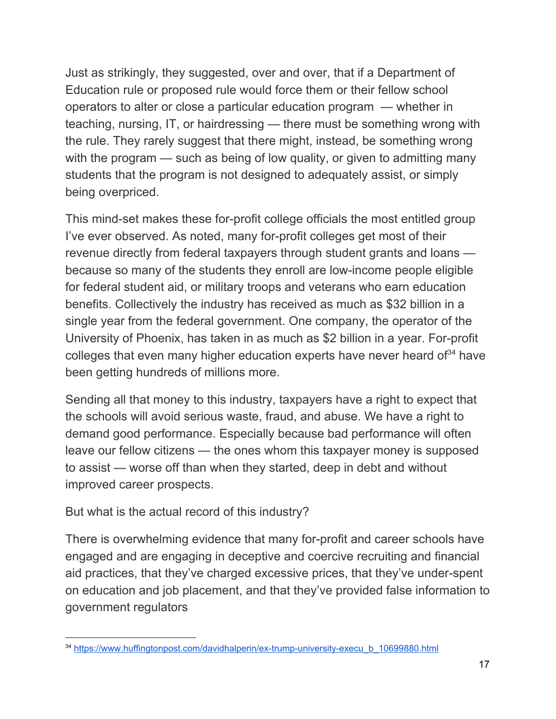Just as strikingly, they suggested, over and over, that if a Department of Education rule or proposed rule would force them or their fellow school operators to alter or close a particular education program — whether in teaching, nursing, IT, or hairdressing — there must be something wrong with the rule. They rarely suggest that there might, instead, be something wrong with the program — such as being of low quality, or given to admitting many students that the program is not designed to adequately assist, or simply being overpriced.

This mind-set makes these for-profit college officials the most entitled group I've ever observed. As noted, many for-profit colleges get most of their revenue directly from federal taxpayers through student grants and loans because so many of the students they enroll are low-income people eligible for federal student aid, or military troops and veterans who earn education benefits. Collectively the industry has received as much as \$32 billion in a single year from the federal government. One company, the operator of the University of Phoenix, has taken in as much as \$2 billion in a year. For-profit colleges that even many higher education experts have never heard of $34$  have been getting hundreds of millions more.

Sending all that money to this industry, taxpayers have a right to expect that the schools will avoid serious waste, fraud, and abuse. We have a right to demand good performance. Especially because bad performance will often leave our fellow citizens — the ones whom this taxpayer money is supposed to assist — worse off than when they started, deep in debt and without improved career prospects.

But what is the actual record of this industry?

There is overwhelming evidence that many for-profit and career schools have engaged and are engaging in deceptive and coercive recruiting and financial aid practices, that they've charged excessive prices, that they've under-spent on education and job placement, and that they've provided false information to government regulators

<sup>34</sup> [https://www.huffingtonpost.com/davidhalperin/ex-trump-university-execu\\_b\\_10699880.html](https://www.huffingtonpost.com/davidhalperin/ex-trump-university-execu_b_10699880.html)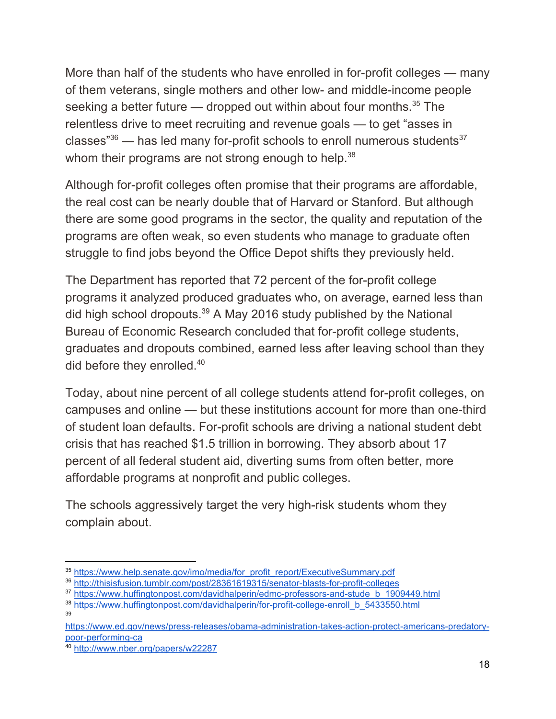More than half of the students who have enrolled in for-profit colleges — many of them veterans, single mothers and other low- and middle-income people seeking a better future  $-$  dropped out within about four months.<sup>35</sup> The relentless drive to meet recruiting and revenue goals — to get "asses in classes" $36$  — has led many for-profit schools to enroll numerous students<sup>37</sup> whom their programs are not strong enough to help.<sup>38</sup>

Although for-profit colleges often promise that their programs are affordable, the real cost can be nearly double that of Harvard or Stanford. But although there are some good programs in the sector, the quality and reputation of the programs are often weak, so even students who manage to graduate often struggle to find jobs beyond the Office Depot shifts they previously held.

The Department has reported that 72 percent of the for-profit college programs it analyzed produced graduates who, on average, earned less than did high school dropouts.<sup>39</sup> A May 2016 study published by the National Bureau of Economic Research concluded that for-profit college students, graduates and dropouts combined, earned less after leaving school than they did before they enrolled.<sup>40</sup>

Today, about nine percent of all college students attend for-profit colleges, on campuses and online — but these institutions account for more than one-third of student loan defaults. For-profit schools are driving a national student debt crisis that has reached \$1.5 trillion in borrowing. They absorb about 17 percent of all federal student aid, diverting sums from often better, more affordable programs at nonprofit and public colleges.

The schools aggressively target the very high-risk students whom they complain about.

<sup>35</sup> [https://www.help.senate.gov/imo/media/for\\_profit\\_report/ExecutiveSummary.pdf](https://www.help.senate.gov/imo/media/for_profit_report/ExecutiveSummary.pdf)

<sup>36</sup> <http://thisisfusion.tumblr.com/post/28361619315/senator-blasts-for-profit-colleges>

<sup>&</sup>lt;sup>37</sup> [https://www.huffingtonpost.com/davidhalperin/edmc-professors-and-stude\\_b\\_1909449.html](https://www.huffingtonpost.com/davidhalperin/edmc-professors-and-stude_b_1909449.html)

<sup>38</sup> [https://www.huffingtonpost.com/davidhalperin/for-profit-college-enroll\\_b\\_5433550.html](https://www.huffingtonpost.com/davidhalperin/for-profit-college-enroll_b_5433550.html)

[https://www.ed.gov/news/press-releases/obama-administration-takes-action-protect-americans-predatory](https://www.ed.gov/news/press-releases/obama-administration-takes-action-protect-americans-predatory-poor-performing-ca)[poor-performing-ca](https://www.ed.gov/news/press-releases/obama-administration-takes-action-protect-americans-predatory-poor-performing-ca)

<sup>40</sup> <http://www.nber.org/papers/w22287>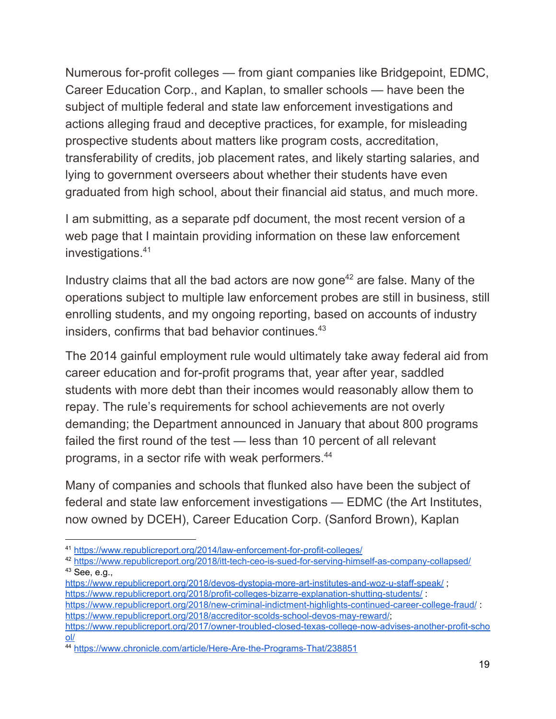Numerous for-profit colleges — from giant companies like Bridgepoint, EDMC, Career Education Corp., and Kaplan, to smaller schools — have been the subject of multiple federal and state law enforcement investigations and actions alleging fraud and deceptive practices, for example, for misleading prospective students about matters like program costs, accreditation, transferability of credits, job placement rates, and likely starting salaries, and lying to government overseers about whether their students have even graduated from high school, about their financial aid status, and much more.

I am submitting, as a separate pdf document, the most recent version of a web page that I maintain providing information on these law enforcement investigations.<sup>41</sup>

Industry claims that all the bad actors are now gone<sup> $42$ </sup> are false. Many of the operations subject to multiple law enforcement probes are still in business, still enrolling students, and my ongoing reporting, based on accounts of industry insiders, confirms that bad behavior continues.<sup>43</sup>

The 2014 gainful employment rule would ultimately take away federal aid from career education and for-profit programs that, year after year, saddled students with more debt than their incomes would reasonably allow them to repay. The rule's requirements for school achievements are not overly demanding; the Department announced in January that about 800 programs failed the first round of the test — less than 10 percent of all relevant programs, in a sector rife with weak performers.<sup>44</sup>

Many of companies and schools that flunked also have been the subject of federal and state law enforcement investigations — EDMC (the Art Institutes, now owned by DCEH), Career Education Corp. (Sanford Brown), Kaplan

<sup>41</sup> <https://www.republicreport.org/2014/law-enforcement-for-profit-colleges/>

<sup>42</sup> <https://www.republicreport.org/2018/itt-tech-ceo-is-sued-for-serving-himself-as-company-collapsed/> <sup>43</sup> See, e.g.,

<https://www.republicreport.org/2018/devos-dystopia-more-art-institutes-and-woz-u-staff-speak/> ; <https://www.republicreport.org/2018/profit-colleges-bizarre-explanation-shutting-students/> : <https://www.republicreport.org/2018/new-criminal-indictment-highlights-continued-career-college-fraud/> : <https://www.republicreport.org/2018/accreditor-scolds-school-devos-may-reward/>; [https://www.republicreport.org/2017/owner-troubled-closed-texas-college-now-advises-another-profit-scho](https://www.republicreport.org/2017/owner-troubled-closed-texas-college-now-advises-another-profit-school/) [ol/](https://www.republicreport.org/2017/owner-troubled-closed-texas-college-now-advises-another-profit-school/)

<sup>44</sup> <https://www.chronicle.com/article/Here-Are-the-Programs-That/238851>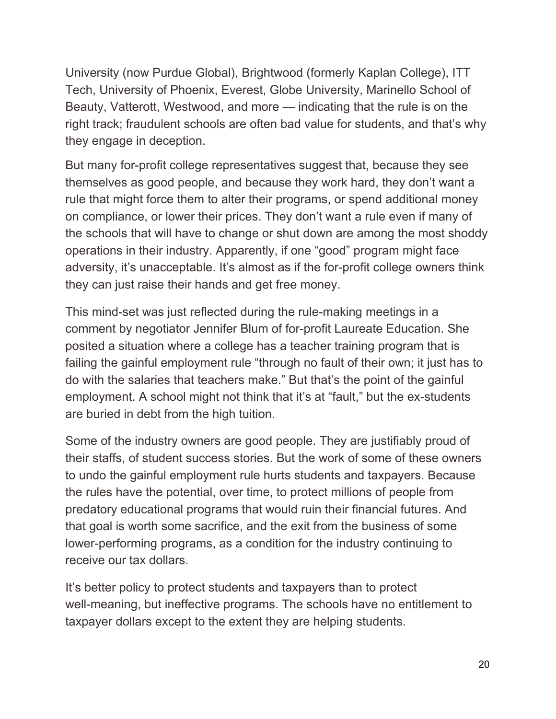University (now Purdue Global), Brightwood (formerly Kaplan College), ITT Tech, University of Phoenix, Everest, Globe University, Marinello School of Beauty, Vatterott, Westwood, and more — indicating that the rule is on the right track; fraudulent schools are often bad value for students, and that's why they engage in deception.

But many for-profit college representatives suggest that, because they see themselves as good people, and because they work hard, they don't want a rule that might force them to alter their programs, or spend additional money on compliance, or lower their prices. They don't want a rule even if many of the schools that will have to change or shut down are among the most shoddy operations in their industry. Apparently, if one "good" program might face adversity, it's unacceptable. It's almost as if the for-profit college owners think they can just raise their hands and get free money.

This mind-set was just reflected during the rule-making meetings in a comment by negotiator Jennifer Blum of for-profit Laureate Education. She posited a situation where a college has a teacher training program that is failing the gainful employment rule "through no fault of their own; it just has to do with the salaries that teachers make." But that's the point of the gainful employment. A school might not think that it's at "fault," but the ex-students are buried in debt from the high tuition.

Some of the industry owners are good people. They are justifiably proud of their staffs, of student success stories. But the work of some of these owners to undo the gainful employment rule hurts students and taxpayers. Because the rules have the potential, over time, to protect millions of people from predatory educational programs that would ruin their financial futures. And that goal is worth some sacrifice, and the exit from the business of some lower-performing programs, as a condition for the industry continuing to receive our tax dollars.

It's better policy to protect students and taxpayers than to protect well-meaning, but ineffective programs. The schools have no entitlement to taxpayer dollars except to the extent they are helping students.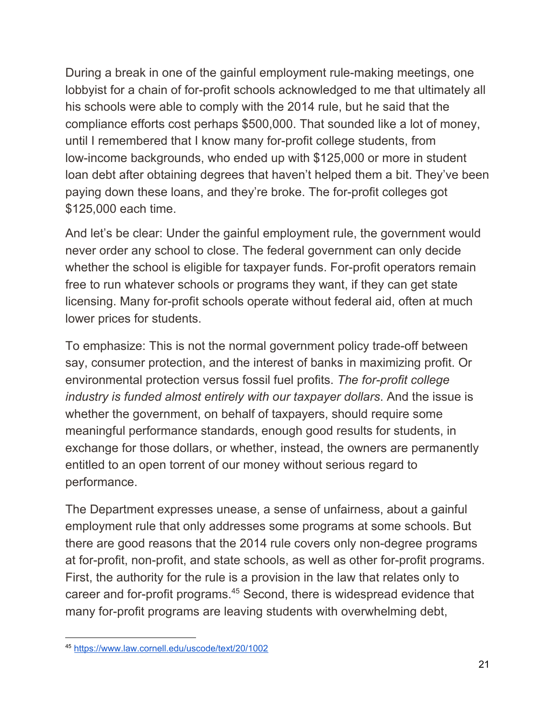During a break in one of the gainful employment rule-making meetings, one lobbyist for a chain of for-profit schools acknowledged to me that ultimately all his schools were able to comply with the 2014 rule, but he said that the compliance efforts cost perhaps \$500,000. That sounded like a lot of money, until I remembered that I know many for-profit college students, from low-income backgrounds, who ended up with \$125,000 or more in student loan debt after obtaining degrees that haven't helped them a bit. They've been paying down these loans, and they're broke. The for-profit colleges got \$125,000 each time.

And let's be clear: Under the gainful employment rule, the government would never order any school to close. The federal government can only decide whether the school is eligible for taxpayer funds. For-profit operators remain free to run whatever schools or programs they want, if they can get state licensing. Many for-profit schools operate without federal aid, often at much lower prices for students.

To emphasize: This is not the normal government policy trade-off between say, consumer protection, and the interest of banks in maximizing profit. Or environmental protection versus fossil fuel profits. *The for-profit college industry is funded almost entirely with our taxpayer dollars*. And the issue is whether the government, on behalf of taxpayers, should require some meaningful performance standards, enough good results for students, in exchange for those dollars, or whether, instead, the owners are permanently entitled to an open torrent of our money without serious regard to performance.

The Department expresses unease, a sense of unfairness, about a gainful employment rule that only addresses some programs at some schools. But there are good reasons that the 2014 rule covers only non-degree programs at for-profit, non-profit, and state schools, as well as other for-profit programs. First, the authority for the rule is a provision in the law that relates only to career and for-profit programs.<sup>45</sup> Second, there is widespread evidence that many for-profit programs are leaving students with overwhelming debt,

<sup>45</sup> <https://www.law.cornell.edu/uscode/text/20/1002>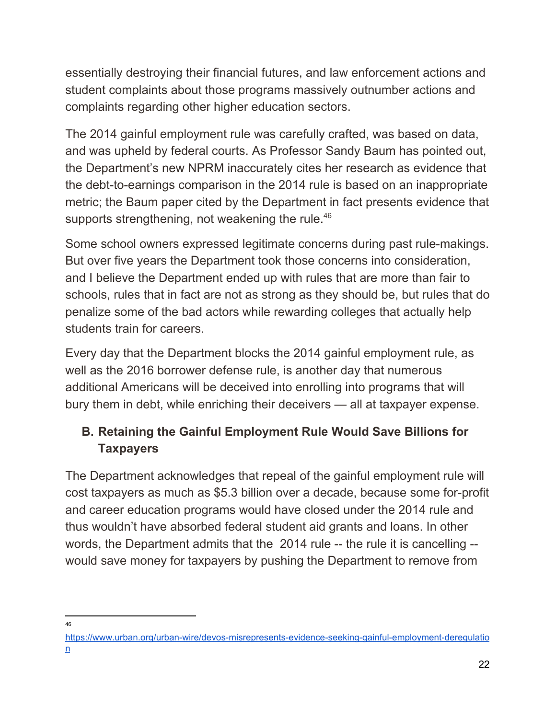essentially destroying their financial futures, and law enforcement actions and student complaints about those programs massively outnumber actions and complaints regarding other higher education sectors.

The 2014 gainful employment rule was carefully crafted, was based on data, and was upheld by federal courts. As Professor Sandy Baum has pointed out, the Department's new NPRM inaccurately cites her research as evidence that the debt-to-earnings comparison in the 2014 rule is based on an inappropriate metric; the Baum paper cited by the Department in fact presents evidence that supports strengthening, not weakening the rule.<sup>46</sup>

Some school owners expressed legitimate concerns during past rule-makings. But over five years the Department took those concerns into consideration, and I believe the Department ended up with rules that are more than fair to schools, rules that in fact are not as strong as they should be, but rules that do penalize some of the bad actors while rewarding colleges that actually help students train for careers.

Every day that the Department blocks the 2014 gainful employment rule, as well as the 2016 borrower defense rule, is another day that numerous additional Americans will be deceived into enrolling into programs that will bury them in debt, while enriching their deceivers — all at taxpayer expense.

# **B. Retaining the Gainful Employment Rule Would Save Billions for Taxpayers**

The Department acknowledges that repeal of the gainful employment rule will cost taxpayers as much as \$5.3 billion over a decade, because some for-profit and career education programs would have closed under the 2014 rule and thus wouldn't have absorbed federal student aid grants and loans. In other words, the Department admits that the 2014 rule -- the rule it is cancelling - would save money for taxpayers by pushing the Department to remove from

<sup>46</sup>

[https://www.urban.org/urban-wire/devos-misrepresents-evidence-seeking-gainful-employment-deregulatio](https://www.urban.org/urban-wire/devos-misrepresents-evidence-seeking-gainful-employment-deregulation) [n](https://www.urban.org/urban-wire/devos-misrepresents-evidence-seeking-gainful-employment-deregulation)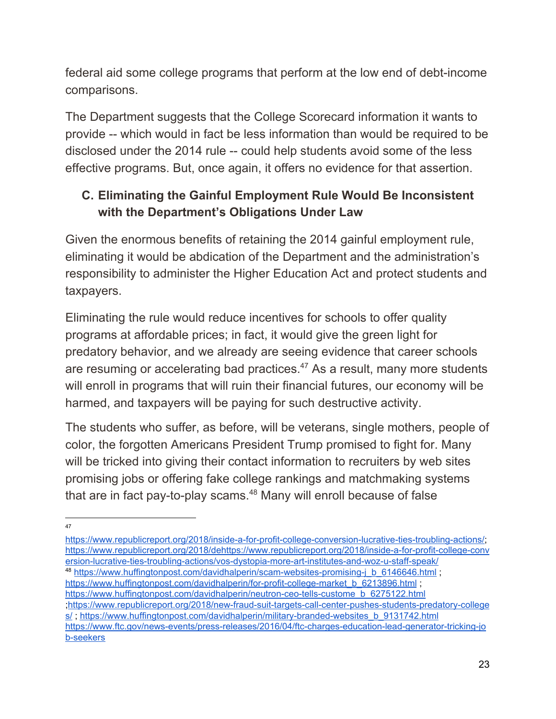federal aid some college programs that perform at the low end of debt-income comparisons.

The Department suggests that the College Scorecard information it wants to provide -- which would in fact be less information than would be required to be disclosed under the 2014 rule -- could help students avoid some of the less effective programs. But, once again, it offers no evidence for that assertion.

# **C. Eliminating the Gainful Employment Rule Would Be Inconsistent with the Department's Obligations Under Law**

Given the enormous benefits of retaining the 2014 gainful employment rule, eliminating it would be abdication of the Department and the administration's responsibility to administer the Higher Education Act and protect students and taxpayers.

Eliminating the rule would reduce incentives for schools to offer quality programs at affordable prices; in fact, it would give the green light for predatory behavior, and we already are seeing evidence that career schools are resuming or accelerating bad practices. $47$  As a result, many more students will enroll in programs that will ruin their financial futures, our economy will be harmed, and taxpayers will be paying for such destructive activity.

The students who suffer, as before, will be veterans, single mothers, people of color, the forgotten Americans President Trump promised to fight for. Many will be tricked into giving their contact information to recruiters by web sites promising jobs or offering fake college rankings and matchmaking systems that are in fact pay-to-play scams. $48$  Many will enroll because of false

[https://www.republicreport.org/2018/inside-a-for-profit-college-conversion-lucrative-ties-troubling-actions/;](https://www.republicreport.org/2018/inside-a-for-profit-college-conversion-lucrative-ties-troubling-actions/) [https://www.republicreport.org/2018/dehttps://www.republicreport.org/2018/inside-a-for-profit-college-conv](https://www.republicreport.org/2018/dehttps://www.republicreport.org/2018/inside-a-for-profit-college-conversion-lucrative-ties-troubling-actions/vos-dystopia-more-art-institutes-and-woz-u-staff-speak/) [ersion-lucrative-ties-troubling-actions/vos-dystopia-more-art-institutes-and-woz-u-staff-speak/](https://www.republicreport.org/2018/dehttps://www.republicreport.org/2018/inside-a-for-profit-college-conversion-lucrative-ties-troubling-actions/vos-dystopia-more-art-institutes-and-woz-u-staff-speak/) <sup>48</sup> [https://www.huffingtonpost.com/davidhalperin/scam-websites-promising-j\\_b\\_6146646.html](https://www.huffingtonpost.com/davidhalperin/scam-websites-promising-j_b_6146646.html) ; [https://www.huffingtonpost.com/davidhalperin/for-profit-college-market\\_b\\_6213896.html](https://www.huffingtonpost.com/davidhalperin/for-profit-college-market_b_6213896.html) ; [https://www.huffingtonpost.com/davidhalperin/neutron-ceo-tells-custome\\_b\\_6275122.html](https://www.huffingtonpost.com/davidhalperin/neutron-ceo-tells-custome_b_6275122.html) ;[https://www.republicreport.org/2018/new-fraud-suit-targets-call-center-pushes-students-predatory-college](https://www.republicreport.org/2018/new-fraud-suit-targets-call-center-pushes-students-predatory-colleges/) [s/](https://www.republicreport.org/2018/new-fraud-suit-targets-call-center-pushes-students-predatory-colleges/); [https://www.huffingtonpost.com/davidhalperin/military-branded-websites\\_b\\_9131742.html](https://www.huffingtonpost.com/davidhalperin/military-branded-websites_b_9131742.html) [https://www.ftc.gov/news-events/press-releases/2016/04/ftc-charges-education-lead-generator-tricking-jo](https://www.ftc.gov/news-events/press-releases/2016/04/ftc-charges-education-lead-generator-tricking-job-seekers) [b-seekers](https://www.ftc.gov/news-events/press-releases/2016/04/ftc-charges-education-lead-generator-tricking-job-seekers)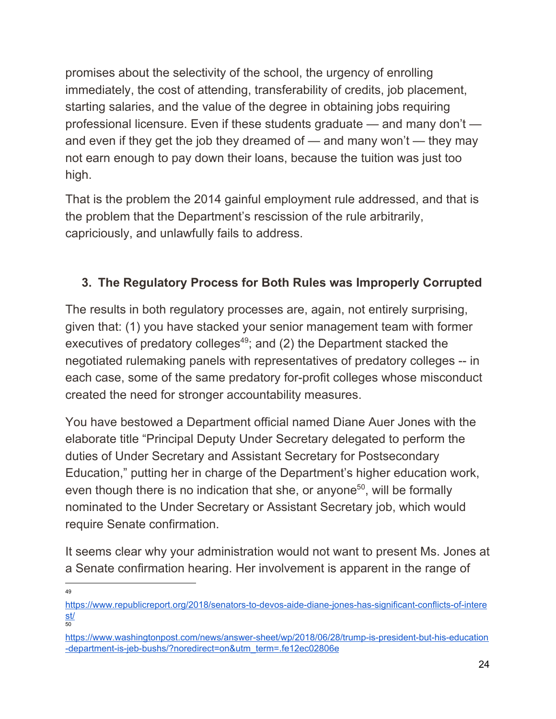promises about the selectivity of the school, the urgency of enrolling immediately, the cost of attending, transferability of credits, job placement, starting salaries, and the value of the degree in obtaining jobs requiring professional licensure. Even if these students graduate — and many don't and even if they get the job they dreamed of — and many won't — they may not earn enough to pay down their loans, because the tuition was just too high.

That is the problem the 2014 gainful employment rule addressed, and that is the problem that the Department's rescission of the rule arbitrarily, capriciously, and unlawfully fails to address.

#### **3. The Regulatory Process for Both Rules was Improperly Corrupted**

The results in both regulatory processes are, again, not entirely surprising, given that: (1) you have stacked your senior management team with former executives of predatory colleges $49$ ; and (2) the Department stacked the negotiated rulemaking panels with representatives of predatory colleges -- in each case, some of the same predatory for-profit colleges whose misconduct created the need for stronger accountability measures.

You have bestowed a Department official named Diane Auer Jones with the elaborate title "Principal Deputy Under Secretary delegated to perform the duties of Under Secretary and Assistant Secretary for Postsecondary Education," putting her in charge of the Department's higher education work, even though there is no indication that she, or anyone<sup>50</sup>, will be formally nominated to the Under Secretary or Assistant Secretary job, which would require Senate confirmation.

It seems clear why your administration would not want to present Ms. Jones at a Senate confirmation hearing. Her involvement is apparent in the range of

[https://www.republicreport.org/2018/senators-to-devos-aide-diane-jones-has-significant-conflicts-of-intere](https://www.republicreport.org/2018/senators-to-devos-aide-diane-jones-has-significant-conflicts-of-interest/) [st/](https://www.republicreport.org/2018/senators-to-devos-aide-diane-jones-has-significant-conflicts-of-interest/) 50

[https://www.washingtonpost.com/news/answer-sheet/wp/2018/06/28/trump-is-president-but-his-education](https://www.washingtonpost.com/news/answer-sheet/wp/2018/06/28/trump-is-president-but-his-education-department-is-jeb-bushs/?noredirect=on&utm_term=.fe12ec02806e) [-department-is-jeb-bushs/?noredirect=on&utm\\_term=.fe12ec02806e](https://www.washingtonpost.com/news/answer-sheet/wp/2018/06/28/trump-is-president-but-his-education-department-is-jeb-bushs/?noredirect=on&utm_term=.fe12ec02806e)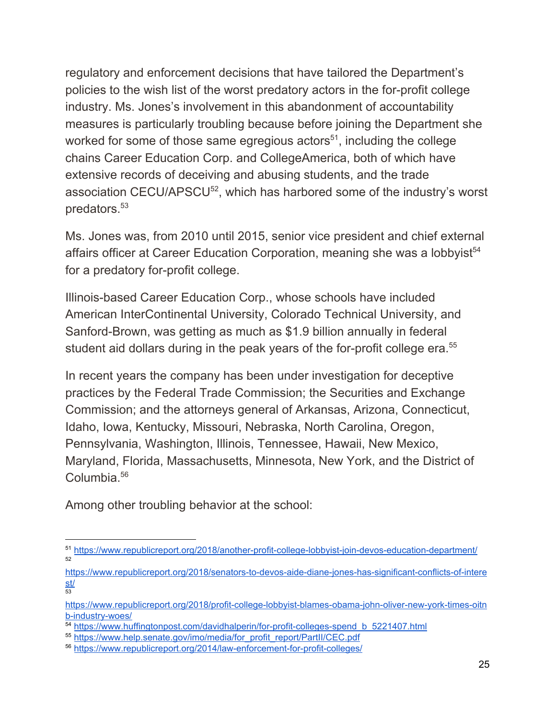regulatory and enforcement decisions that have tailored the Department's policies to the wish list of the worst predatory actors in the for-profit college industry. Ms. Jones's involvement in this abandonment of accountability measures is particularly troubling because before joining the Department she worked for some of those same egregious actors<sup> $51$ </sup>, including the college chains Career Education Corp. and CollegeAmerica, both of which have extensive records of deceiving and abusing students, and the trade association CECU/APSCU $52$ , which has harbored some of the industry's worst predators.<sup>53</sup>

Ms. Jones was, from 2010 until 2015, senior vice president and chief external affairs officer at Career Education Corporation, meaning she was a lobbyist<sup>54</sup> for a predatory for-profit college.

Illinois-based Career Education Corp., whose schools have included American InterContinental University, Colorado Technical University, and Sanford-Brown, was getting as much as \$1.9 billion annually in federal student aid dollars during in the peak years of the for-profit college era.<sup>55</sup>

In recent years the company has been under investigation for deceptive practices by the Federal Trade Commission; the Securities and Exchange Commission; and the attorneys general of Arkansas, Arizona, Connecticut, Idaho, Iowa, Kentucky, Missouri, Nebraska, North Carolina, Oregon, Pennsylvania, Washington, Illinois, Tennessee, Hawaii, New Mexico, Maryland, Florida, Massachusetts, Minnesota, New York, and the District of Columbia.<sup>56</sup>

Among other troubling behavior at the school:

<sup>51</sup> <https://www.republicreport.org/2018/another-profit-college-lobbyist-join-devos-education-department/> 52

[https://www.republicreport.org/2018/senators-to-devos-aide-diane-jones-has-significant-conflicts-of-intere](https://www.republicreport.org/2018/senators-to-devos-aide-diane-jones-has-significant-conflicts-of-interest/) [st/](https://www.republicreport.org/2018/senators-to-devos-aide-diane-jones-has-significant-conflicts-of-interest/) 53

[https://www.republicreport.org/2018/profit-college-lobbyist-blames-obama-john-oliver-new-york-times-oitn](https://www.republicreport.org/2018/profit-college-lobbyist-blames-obama-john-oliver-new-york-times-oitnb-industry-woes/) [b-industry-woes/](https://www.republicreport.org/2018/profit-college-lobbyist-blames-obama-john-oliver-new-york-times-oitnb-industry-woes/)

<sup>54</sup> [https://www.huffingtonpost.com/davidhalperin/for-profit-colleges-spend\\_b\\_5221407.html](https://www.huffingtonpost.com/davidhalperin/for-profit-colleges-spend_b_5221407.html)

<sup>55</sup> [https://www.help.senate.gov/imo/media/for\\_profit\\_report/PartII/CEC.pdf](https://www.help.senate.gov/imo/media/for_profit_report/PartII/CEC.pdf)

<sup>56</sup> <https://www.republicreport.org/2014/law-enforcement-for-profit-colleges/>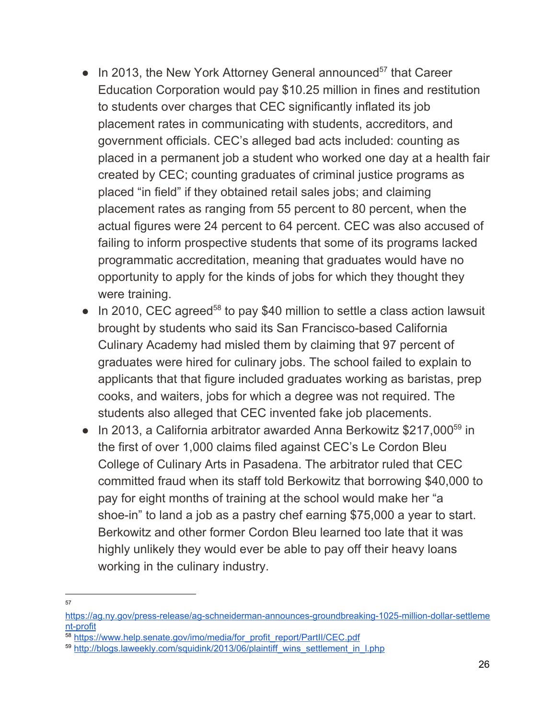- $\bullet$  In 2013, the New York Attorney General announced<sup>57</sup> that Career Education Corporation would pay \$10.25 million in fines and restitution to students over charges that CEC significantly inflated its job placement rates in communicating with students, accreditors, and government officials. CEC's alleged bad acts included: counting as placed in a permanent job a student who worked one day at a health fair created by CEC; counting graduates of criminal justice programs as placed "in field" if they obtained retail sales jobs; and claiming placement rates as ranging from 55 percent to 80 percent, when the actual figures were 24 percent to 64 percent. CEC was also accused of failing to inform prospective students that some of its programs lacked programmatic accreditation, meaning that graduates would have no opportunity to apply for the kinds of jobs for which they thought they were training.
- $\bullet$  In 2010, CEC agreed<sup>58</sup> to pay \$40 million to settle a class action lawsuit brought by students who said its San Francisco-based California Culinary Academy had misled them by claiming that 97 percent of graduates were hired for culinary jobs. The school failed to explain to applicants that that figure included graduates working as baristas, prep cooks, and waiters, jobs for which a degree was not required. The students also alleged that CEC invented fake job placements.
- In 2013, a California arbitrator awarded Anna Berkowitz  $$217,000^{59}$  in the first of over 1,000 claims filed against CEC's Le Cordon Bleu College of Culinary Arts in Pasadena. The arbitrator ruled that CEC committed fraud when its staff told Berkowitz that borrowing \$40,000 to pay for eight months of training at the school would make her "a shoe-in" to land a job as a pastry chef earning \$75,000 a year to start. Berkowitz and other former Cordon Bleu learned too late that it was highly unlikely they would ever be able to pay off their heavy loans working in the culinary industry.

<sup>57</sup>

[https://ag.ny.gov/press-release/ag-schneiderman-announces-groundbreaking-1025-million-dollar-settleme](https://ag.ny.gov/press-release/ag-schneiderman-announces-groundbreaking-1025-million-dollar-settlement-profit) [nt-profit](https://ag.ny.gov/press-release/ag-schneiderman-announces-groundbreaking-1025-million-dollar-settlement-profit)

<sup>&</sup>lt;sup>58</sup> [https://www.help.senate.gov/imo/media/for\\_profit\\_report/PartII/CEC.pdf](https://www.help.senate.gov/imo/media/for_profit_report/PartII/CEC.pdf)

<sup>59</sup> [http://blogs.laweekly.com/squidink/2013/06/plaintiff\\_wins\\_settlement\\_in\\_l.php](http://blogs.laweekly.com/squidink/2013/06/plaintiff_wins_settlement_in_l.php)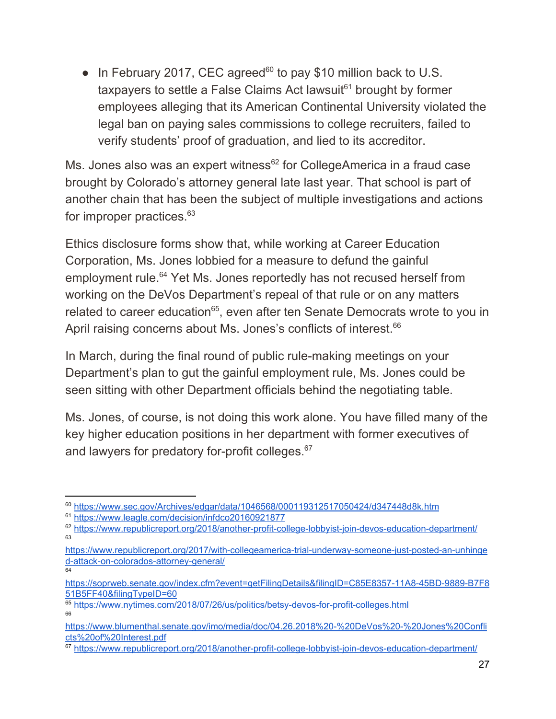$\bullet$  In February 2017, CEC agreed<sup>60</sup> to pay \$10 million back to U.S. taxpayers to settle a False Claims Act lawsuit<sup> $61$ </sup> brought by former employees alleging that its American Continental University violated the legal ban on paying sales commissions to college recruiters, failed to verify students' proof of graduation, and lied to its accreditor.

Ms. Jones also was an expert witness<sup>62</sup> for CollegeAmerica in a fraud case brought by Colorado's attorney general late last year. That school is part of another chain that has been the subject of multiple investigations and actions for improper practices.<sup>63</sup>

Ethics disclosure forms show that, while working at Career Education Corporation, Ms. Jones lobbied for a measure to defund the gainful employment rule.<sup>64</sup> Yet Ms. Jones reportedly has not recused herself from working on the DeVos Department's repeal of that rule or on any matters related to career education<sup>65</sup>, even after ten Senate Democrats wrote to you in April raising concerns about Ms. Jones's conflicts of interest.<sup>66</sup>

In March, during the final round of public rule-making meetings on your Department's plan to gut the gainful employment rule, Ms. Jones could be seen sitting with other Department officials behind the negotiating table.

Ms. Jones, of course, is not doing this work alone. You have filled many of the key higher education positions in her department with former executives of and lawyers for predatory for-profit colleges.<sup>67</sup>

<sup>60</sup> <https://www.sec.gov/Archives/edgar/data/1046568/000119312517050424/d347448d8k.htm>

<sup>61</sup> <https://www.leagle.com/decision/infdco20160921877>

<sup>&</sup>lt;sup>62</sup> <https://www.republicreport.org/2018/another-profit-college-lobbyist-join-devos-education-department/> 63

[https://www.republicreport.org/2017/with-collegeamerica-trial-underway-someone-just-posted-an-unhinge](https://www.republicreport.org/2017/with-collegeamerica-trial-underway-someone-just-posted-an-unhinged-attack-on-colorados-attorney-general/) [d-attack-on-colorados-attorney-general/](https://www.republicreport.org/2017/with-collegeamerica-trial-underway-someone-just-posted-an-unhinged-attack-on-colorados-attorney-general/) 64

[https://soprweb.senate.gov/index.cfm?event=getFilingDetails&filingID=C85E8357-11A8-45BD-9889-B7F8](https://soprweb.senate.gov/index.cfm?event=getFilingDetails&filingID=C85E8357-11A8-45BD-9889-B7F851B5FF40&filingTypeID=60) [51B5FF40&filingTypeID=60](https://soprweb.senate.gov/index.cfm?event=getFilingDetails&filingID=C85E8357-11A8-45BD-9889-B7F851B5FF40&filingTypeID=60)

<sup>65</sup> <https://www.nytimes.com/2018/07/26/us/politics/betsy-devos-for-profit-colleges.html> 66

[https://www.blumenthal.senate.gov/imo/media/doc/04.26.2018%20-%20DeVos%20-%20Jones%20Confli](https://www.blumenthal.senate.gov/imo/media/doc/04.26.2018%20-%20DeVos%20-%20Jones%20Conflicts%20of%20Interest.pdf) [cts%20of%20Interest.pdf](https://www.blumenthal.senate.gov/imo/media/doc/04.26.2018%20-%20DeVos%20-%20Jones%20Conflicts%20of%20Interest.pdf)

<sup>&</sup>lt;sup>67</sup> <https://www.republicreport.org/2018/another-profit-college-lobbyist-join-devos-education-department/>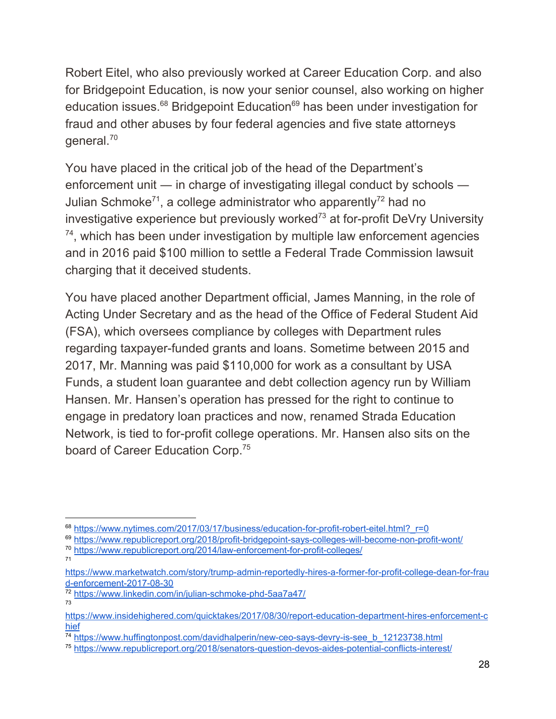Robert Eitel, who also previously worked at Career Education Corp. and also for Bridgepoint Education, is now your senior counsel, also working on higher education issues.<sup>68</sup> Bridgepoint Education<sup>69</sup> has been under investigation for fraud and other abuses by four federal agencies and five state attorneys  $q$ eneral.<sup>70</sup>

You have placed in the critical job of the head of the Department's enforcement unit ― in charge of investigating illegal conduct by schools ― Julian Schmoke<sup>71</sup>, a college administrator who apparently<sup>72</sup> had no investigative experience but previously worked<sup> $73$ </sup> at for-profit DeVry University  $74$ , which has been under investigation by multiple law enforcement agencies and in 2016 paid \$100 million to settle a Federal Trade Commission lawsuit charging that it deceived students.

You have placed another Department official, James Manning, in the role of Acting Under Secretary and as the head of the Office of Federal Student Aid (FSA), which oversees compliance by colleges with Department rules regarding taxpayer-funded grants and loans. Sometime between 2015 and 2017, Mr. Manning was paid \$110,000 for work as a consultant by USA Funds, a student loan guarantee and debt collection agency run by William Hansen. Mr. Hansen's operation has pressed for the right to continue to engage in predatory loan practices and now, renamed Strada Education Network, is tied to for-profit college operations. Mr. Hansen also sits on the board of Career Education Corp.<sup>75</sup>

<sup>69</sup> <https://www.republicreport.org/2018/profit-bridgepoint-says-colleges-will-become-non-profit-wont/>

<sup>&</sup>lt;sup>68</sup> [https://www.nytimes.com/2017/03/17/business/education-for-profit-robert-eitel.html?\\_r=0](https://www.nytimes.com/2017/03/17/business/education-for-profit-robert-eitel.html?_r=0)

<sup>70</sup> <https://www.republicreport.org/2014/law-enforcement-for-profit-colleges/> 71

[https://www.marketwatch.com/story/trump-admin-reportedly-hires-a-former-for-profit-college-dean-for-frau](https://www.marketwatch.com/story/trump-admin-reportedly-hires-a-former-for-profit-college-dean-for-fraud-enforcement-2017-08-30) [d-enforcement-2017-08-30](https://www.marketwatch.com/story/trump-admin-reportedly-hires-a-former-for-profit-college-dean-for-fraud-enforcement-2017-08-30)

<sup>72</sup> <https://www.linkedin.com/in/julian-schmoke-phd-5aa7a47/>

[https://www.insidehighered.com/quicktakes/2017/08/30/report-education-department-hires-enforcement-c](https://www.insidehighered.com/quicktakes/2017/08/30/report-education-department-hires-enforcement-chief) [hief](https://www.insidehighered.com/quicktakes/2017/08/30/report-education-department-hires-enforcement-chief)

<sup>&</sup>lt;sup>74</sup> [https://www.huffingtonpost.com/davidhalperin/new-ceo-says-devry-is-see\\_b\\_12123738.html](https://www.huffingtonpost.com/davidhalperin/new-ceo-says-devry-is-see_b_12123738.html)

<sup>75</sup> <https://www.republicreport.org/2018/senators-question-devos-aides-potential-conflicts-interest/>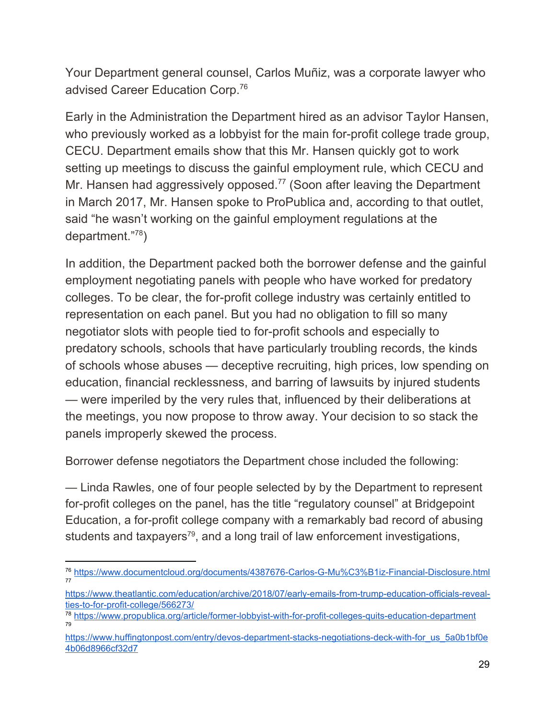Your Department general counsel, Carlos Muñiz, was a corporate lawyer who advised Career Education Corp.<sup>76</sup>

Early in the Administration the Department hired as an advisor Taylor Hansen, who previously worked as a lobbyist for the main for-profit college trade group, CECU. Department emails show that this Mr. Hansen quickly got to work setting up meetings to discuss the gainful employment rule, which CECU and Mr. Hansen had aggressively opposed.<sup> $77$ </sup> (Soon after leaving the Department in March 2017, Mr. Hansen spoke to ProPublica and, according to that outlet, said "he wasn't working on the gainful employment regulations at the department."<sup>78</sup>)

In addition, the Department packed both the borrower defense and the gainful employment negotiating panels with people who have worked for predatory colleges. To be clear, the for-profit college industry was certainly entitled to representation on each panel. But you had no obligation to fill so many negotiator slots with people tied to for-profit schools and especially to predatory schools, schools that have particularly troubling records, the kinds of schools whose abuses — deceptive recruiting, high prices, low spending on education, financial recklessness, and barring of lawsuits by injured students — were imperiled by the very rules that, influenced by their deliberations at the meetings, you now propose to throw away. Your decision to so stack the panels improperly skewed the process.

Borrower defense negotiators the Department chose included the following:

— Linda Rawles, one of four people selected by by the Department to represent for-profit colleges on the panel, has the title "regulatory counsel" at Bridgepoint Education, a for-profit college company with a remarkably bad record of abusing students and taxpayers<sup>79</sup>, and a long trail of law enforcement investigations,

<sup>76</sup> <https://www.documentcloud.org/documents/4387676-Carlos-G-Mu%C3%B1iz-Financial-Disclosure.html> 77

[https://www.theatlantic.com/education/archive/2018/07/early-emails-from-trump-education-officials-reveal](https://www.theatlantic.com/education/archive/2018/07/early-emails-from-trump-education-officials-reveal-ties-to-for-profit-college/566273/)[ties-to-for-profit-college/566273/](https://www.theatlantic.com/education/archive/2018/07/early-emails-from-trump-education-officials-reveal-ties-to-for-profit-college/566273/)

<sup>78</sup> <https://www.propublica.org/article/former-lobbyist-with-for-profit-colleges-quits-education-department> 79

[https://www.huffingtonpost.com/entry/devos-department-stacks-negotiations-deck-with-for\\_us\\_5a0b1bf0e](https://www.huffingtonpost.com/entry/devos-department-stacks-negotiations-deck-with-for_us_5a0b1bf0e4b06d8966cf32d7) [4b06d8966cf32d7](https://www.huffingtonpost.com/entry/devos-department-stacks-negotiations-deck-with-for_us_5a0b1bf0e4b06d8966cf32d7)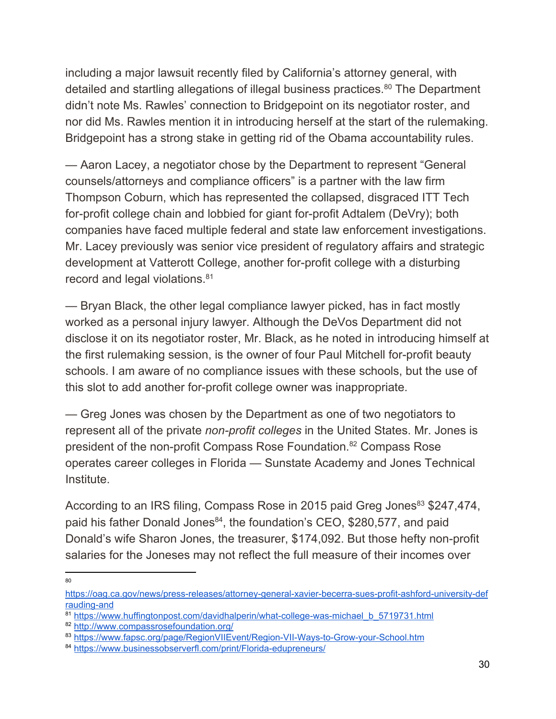including a major lawsuit recently filed by California's attorney general, with detailed and startling allegations of illegal business practices.<sup>80</sup> The Department didn't note Ms. Rawles' connection to Bridgepoint on its negotiator roster, and nor did Ms. Rawles mention it in introducing herself at the start of the rulemaking. Bridgepoint has a strong stake in getting rid of the Obama accountability rules.

— Aaron Lacey, a negotiator chose by the Department to represent "General counsels/attorneys and compliance officers" is a partner with the law firm Thompson Coburn, which has represented the collapsed, disgraced ITT Tech for-profit college chain and lobbied for giant for-profit Adtalem (DeVry); both companies have faced multiple federal and state law enforcement investigations. Mr. Lacey previously was senior vice president of regulatory affairs and strategic development at Vatterott College, another for-profit college with a disturbing record and legal violations.<sup>81</sup>

— Bryan Black, the other legal compliance lawyer picked, has in fact mostly worked as a personal injury lawyer. Although the DeVos Department did not disclose it on its negotiator roster, Mr. Black, as he noted in introducing himself at the first rulemaking session, is the owner of four Paul Mitchell for-profit beauty schools. I am aware of no compliance issues with these schools, but the use of this slot to add another for-profit college owner was inappropriate.

— Greg Jones was chosen by the Department as one of two negotiators to represent all of the private *non-profit colleges* in the United States. Mr. Jones is president of the non-profit Compass Rose Foundation.<sup>82</sup> Compass Rose operates career colleges in Florida — Sunstate Academy and Jones Technical Institute.

According to an IRS filing, Compass Rose in 2015 paid Greg Jones<sup>83</sup> \$247,474, paid his father Donald Jones<sup>84</sup>, the foundation's CEO, \$280,577, and paid Donald's wife Sharon Jones, the treasurer, \$174,092. But those hefty non-profit salaries for the Joneses may not reflect the full measure of their incomes over

[https://oag.ca.gov/news/press-releases/attorney-general-xavier-becerra-sues-profit-ashford-university-def](https://oag.ca.gov/news/press-releases/attorney-general-xavier-becerra-sues-profit-ashford-university-defrauding-and) [rauding-and](https://oag.ca.gov/news/press-releases/attorney-general-xavier-becerra-sues-profit-ashford-university-defrauding-and)

<sup>81</sup> [https://www.huffingtonpost.com/davidhalperin/what-college-was-michael\\_b\\_5719731.html](https://www.huffingtonpost.com/davidhalperin/what-college-was-michael_b_5719731.html)

<sup>82</sup> <http://www.compassrosefoundation.org/>

<sup>83</sup> <https://www.fapsc.org/page/RegionVIIEvent/Region-VII-Ways-to-Grow-your-School.htm>

<sup>84</sup> <https://www.businessobserverfl.com/print/Florida-edupreneurs/>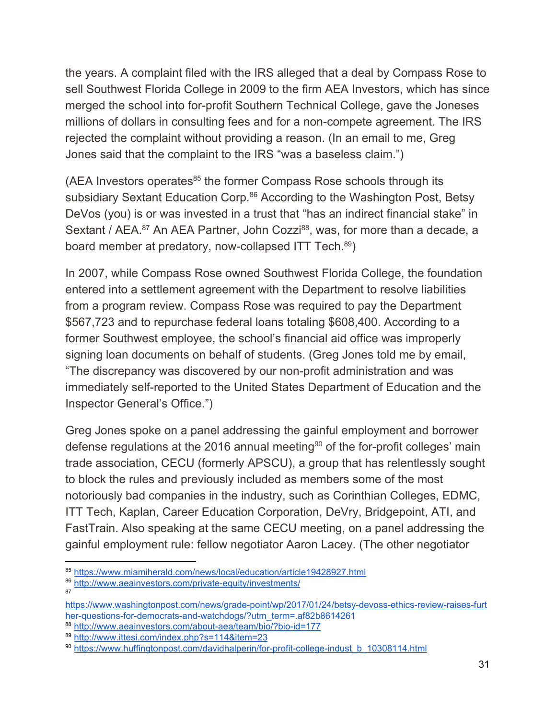the years. A complaint filed with the IRS alleged that a deal by Compass Rose to sell Southwest Florida College in 2009 to the firm AEA Investors, which has since merged the school into for-profit Southern Technical College, gave the Joneses millions of dollars in consulting fees and for a non-compete agreement. The IRS rejected the complaint without providing a reason. (In an email to me, Greg Jones said that the complaint to the IRS "was a baseless claim.")

(AEA Investors operates $85$  the former Compass Rose schools through its subsidiary Sextant Education Corp.<sup>86</sup> According to the Washington Post, Betsy DeVos (you) is or was invested in a trust that "has an indirect financial stake" in Sextant / AEA.<sup>87</sup> An AEA Partner, John Cozzi<sup>88</sup>, was, for more than a decade, a board member at predatory, now-collapsed ITT Tech.<sup>89</sup>)

In 2007, while Compass Rose owned Southwest Florida College, the foundation entered into a settlement agreement with the Department to resolve liabilities from a program review. Compass Rose was required to pay the Department \$567,723 and to repurchase federal loans totaling \$608,400. According to a former Southwest employee, the school's financial aid office was improperly signing loan documents on behalf of students. (Greg Jones told me by email, "The discrepancy was discovered by our non-profit administration and was immediately self-reported to the United States Department of Education and the Inspector General's Office.")

Greg Jones spoke on a panel addressing the gainful employment and borrower defense regulations at the 2016 annual meeting<sup>90</sup> of the for-profit colleges' main trade association, CECU (formerly APSCU), a group that has relentlessly sought to block the rules and previously included as members some of the most notoriously bad companies in the industry, such as Corinthian Colleges, EDMC, ITT Tech, Kaplan, Career Education Corporation, DeVry, Bridgepoint, ATI, and FastTrain. Also speaking at the same CECU meeting, on a panel addressing the gainful employment rule: fellow negotiator Aaron Lacey. (The other negotiator

<sup>85</sup> <https://www.miamiherald.com/news/local/education/article19428927.html>

<sup>86</sup> <http://www.aeainvestors.com/private-equity/investments/> 87

[https://www.washingtonpost.com/news/grade-point/wp/2017/01/24/betsy-devoss-ethics-review-raises-furt](https://www.washingtonpost.com/news/grade-point/wp/2017/01/24/betsy-devoss-ethics-review-raises-further-questions-for-democrats-and-watchdogs/?utm_term=.af82b8614261) [her-questions-for-democrats-and-watchdogs/?utm\\_term=.af82b8614261](https://www.washingtonpost.com/news/grade-point/wp/2017/01/24/betsy-devoss-ethics-review-raises-further-questions-for-democrats-and-watchdogs/?utm_term=.af82b8614261)

<sup>88</sup> <http://www.aeainvestors.com/about-aea/team/bio/?bio-id=177>

<sup>89</sup> <http://www.ittesi.com/index.php?s=114&item=23>

<sup>90</sup> [https://www.huffingtonpost.com/davidhalperin/for-profit-college-indust\\_b\\_10308114.html](https://www.huffingtonpost.com/davidhalperin/for-profit-college-indust_b_10308114.html)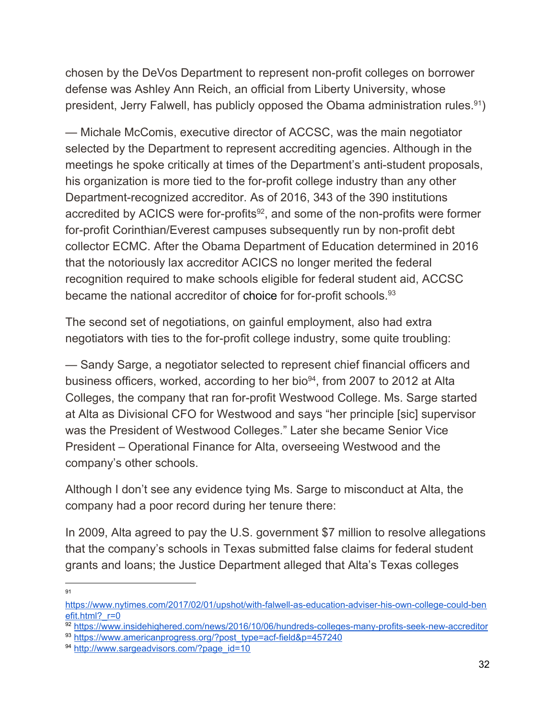chosen by the DeVos Department to represent non-profit colleges on borrower defense was Ashley Ann Reich, an official from Liberty University, whose president, Jerry Falwell, has publicly opposed the Obama administration rules.<sup>91</sup>)

— Michale McComis, executive director of ACCSC, was the main negotiator selected by the Department to represent accrediting agencies. Although in the meetings he spoke critically at times of the Department's anti-student proposals, his organization is more tied to the for-profit college industry than any other Department-recognized accreditor. As of 2016, 343 of the 390 institutions accredited by ACICS were for-profits $92$ , and some of the non-profits were former for-profit Corinthian/Everest campuses subsequently run by non-profit debt collector ECMC. After the Obama Department of Education determined in 2016 that the notoriously lax accreditor ACICS no longer merited the federal recognition required to make schools eligible for federal student aid, ACCSC became the national accreditor of choice for for-profit schools. 93

The second set of negotiations, on gainful employment, also had extra negotiators with ties to the for-profit college industry, some quite troubling:

— Sandy Sarge, a negotiator selected to represent chief financial officers and business officers, worked, according to her bio<sup>94</sup>, from 2007 to 2012 at Alta Colleges, the company that ran for-profit Westwood College. Ms. Sarge started at Alta as Divisional CFO for Westwood and says "her principle [sic] supervisor was the President of Westwood Colleges." Later she became Senior Vice President – Operational Finance for Alta, overseeing Westwood and the company's other schools.

Although I don't see any evidence tying Ms. Sarge to misconduct at Alta, the company had a poor record during her tenure there:

In 2009, Alta agreed to pay the U.S. government \$7 million to resolve allegations that the company's schools in Texas submitted false claims for federal student grants and loans; the Justice Department alleged that Alta's Texas colleges

[https://www.nytimes.com/2017/02/01/upshot/with-falwell-as-education-adviser-his-own-college-could-ben](https://www.nytimes.com/2017/02/01/upshot/with-falwell-as-education-adviser-his-own-college-could-benefit.html?_r=0) efit.html? r=0

<sup>92</sup> <https://www.insidehighered.com/news/2016/10/06/hundreds-colleges-many-profits-seek-new-accreditor> 93 [https://www.americanprogress.org/?post\\_type=acf-field&p=457240](https://www.americanprogress.org/?post_type=acf-field&p=457240)

<sup>94</sup> [http://www.sargeadvisors.com/?page\\_id=10](http://www.sargeadvisors.com/?page_id=10)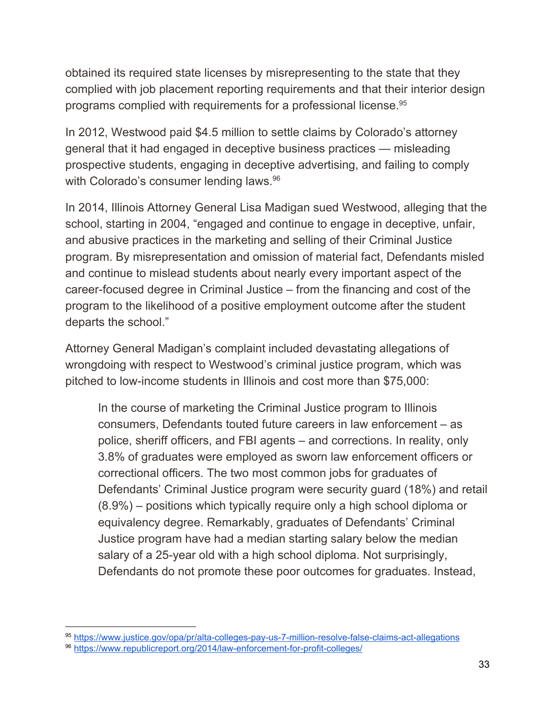obtained its required state licenses by misrepresenting to the state that they complied with job placement reporting requirements and that their interior design programs complied with requirements for a professional license. 95

In 2012, Westwood paid \$4.5 million to settle claims by Colorado's attorney general that it had engaged in deceptive business practices — misleading prospective students, engaging in deceptive advertising, and failing to comply with Colorado's consumer lending laws.<sup>96</sup>

In 2014, Illinois Attorney General Lisa Madigan sued Westwood, alleging that the school, starting in 2004, "engaged and continue to engage in deceptive, unfair, and abusive practices in the marketing and selling of their Criminal Justice program. By misrepresentation and omission of material fact, Defendants misled and continue to mislead students about nearly every important aspect of the career-focused degree in Criminal Justice – from the financing and cost of the program to the likelihood of a positive employment outcome after the student departs the school."

Attorney General Madigan's complaint included devastating allegations of wrongdoing with respect to Westwood's criminal justice program, which was pitched to low-income students in Illinois and cost more than \$75,000:

In the course of marketing the Criminal Justice program to Illinois consumers, Defendants touted future careers in law enforcement – as police, sheriff officers, and FBI agents – and corrections. In reality, only 3.8% of graduates were employed as sworn law enforcement officers or correctional officers. The two most common jobs for graduates of Defendants' Criminal Justice program were security guard (18%) and retail (8.9%) – positions which typically require only a high school diploma or equivalency degree. Remarkably, graduates of Defendants' Criminal Justice program have had a median starting salary below the median salary of a 25-year old with a high school diploma. Not surprisingly, Defendants do not promote these poor outcomes for graduates. Instead,

<sup>95</sup> <https://www.justice.gov/opa/pr/alta-colleges-pay-us-7-million-resolve-false-claims-act-allegations>

<sup>96</sup> <https://www.republicreport.org/2014/law-enforcement-for-profit-colleges/>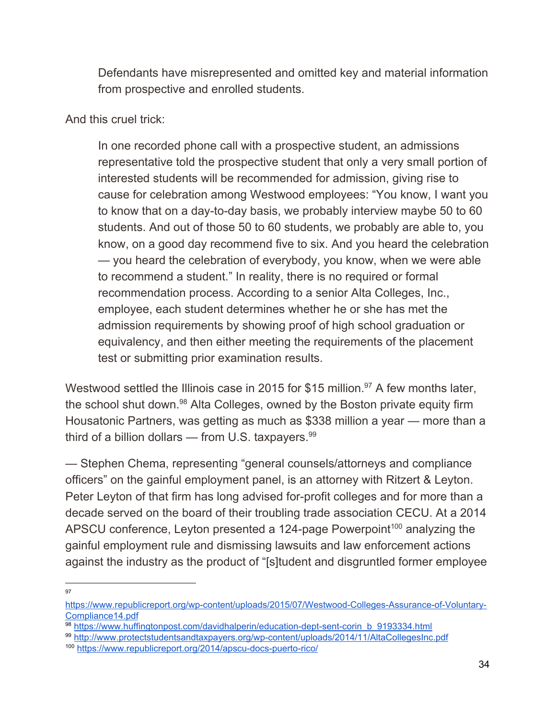Defendants have misrepresented and omitted key and material information from prospective and enrolled students.

And this cruel trick:

In one recorded phone call with a prospective student, an admissions representative told the prospective student that only a very small portion of interested students will be recommended for admission, giving rise to cause for celebration among Westwood employees: "You know, I want you to know that on a day-to-day basis, we probably interview maybe 50 to 60 students. And out of those 50 to 60 students, we probably are able to, you know, on a good day recommend five to six. And you heard the celebration — you heard the celebration of everybody, you know, when we were able to recommend a student." In reality, there is no required or formal recommendation process. According to a senior Alta Colleges, Inc., employee, each student determines whether he or she has met the admission requirements by showing proof of high school graduation or equivalency, and then either meeting the requirements of the placement test or submitting prior examination results.

Westwood settled the Illinois case in 2015 for \$15 million.<sup>97</sup> A few months later, the school shut down.<sup>98</sup> Alta Colleges, owned by the Boston private equity firm Housatonic Partners, was getting as much as \$338 million a year — more than a third of a billion dollars — from U.S. taxpayers. 99

— Stephen Chema, representing "general counsels/attorneys and compliance officers" on the gainful employment panel, is an attorney with Ritzert & Leyton. Peter Leyton of that firm has long advised for-profit colleges and for more than a decade served on the board of their troubling trade association CECU. At a 2014 APSCU conference, Leyton presented a 124-page Powerpoint<sup>100</sup> analyzing the gainful employment rule and dismissing lawsuits and law enforcement actions against the industry as the product of "[s]tudent and disgruntled former employee

[https://www.republicreport.org/wp-content/uploads/2015/07/Westwood-Colleges-Assurance-of-Voluntary-](https://www.republicreport.org/wp-content/uploads/2015/07/Westwood-Colleges-Assurance-of-Voluntary-Compliance14.pdf)[Compliance14.pdf](https://www.republicreport.org/wp-content/uploads/2015/07/Westwood-Colleges-Assurance-of-Voluntary-Compliance14.pdf)

<sup>98</sup> [https://www.huffingtonpost.com/davidhalperin/education-dept-sent-corin\\_b\\_9193334.html](https://www.huffingtonpost.com/davidhalperin/education-dept-sent-corin_b_9193334.html)

<sup>99</sup> <http://www.protectstudentsandtaxpayers.org/wp-content/uploads/2014/11/AltaCollegesInc.pdf>

<sup>100</sup> <https://www.republicreport.org/2014/apscu-docs-puerto-rico/>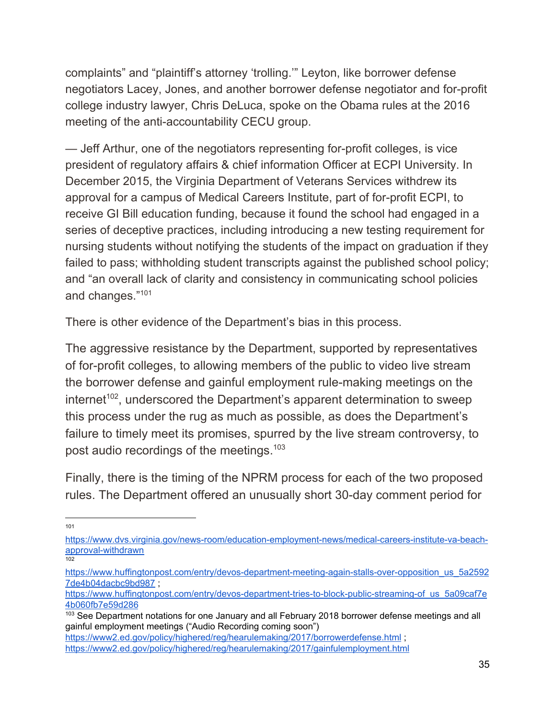complaints" and "plaintiff's attorney 'trolling.'" Leyton, like borrower defense negotiators Lacey, Jones, and another borrower defense negotiator and for-profit college industry lawyer, Chris DeLuca, spoke on the Obama rules at the 2016 meeting of the anti-accountability CECU group.

— Jeff Arthur, one of the negotiators representing for-profit colleges, is vice president of regulatory affairs & chief information Officer at ECPI University. In December 2015, the Virginia Department of Veterans Services withdrew its approval for a campus of Medical Careers Institute, part of for-profit ECPI, to receive GI Bill education funding, because it found the school had engaged in a series of deceptive practices, including introducing a new testing requirement for nursing students without notifying the students of the impact on graduation if they failed to pass; withholding student transcripts against the published school policy; and "an overall lack of clarity and consistency in communicating school policies and changes." 101

There is other evidence of the Department's bias in this process.

The aggressive resistance by the Department, supported by representatives of for-profit colleges, to allowing members of the public to video live stream the borrower defense and gainful employment rule-making meetings on the internet<sup>102</sup>, underscored the Department's apparent determination to sweep this process under the rug as much as possible, as does the Department's failure to timely meet its promises, spurred by the live stream controversy, to post audio recordings of the meetings.<sup>103</sup>

Finally, there is the timing of the NPRM process for each of the two proposed rules. The Department offered an unusually short 30-day comment period for

[https://www.dvs.virginia.gov/news-room/education-employment-news/medical-careers-institute-va-beach](https://www.dvs.virginia.gov/news-room/education-employment-news/medical-careers-institute-va-beach-approval-withdrawn)[approval-withdrawn](https://www.dvs.virginia.gov/news-room/education-employment-news/medical-careers-institute-va-beach-approval-withdrawn)  $102$ 

[https://www.huffingtonpost.com/entry/devos-department-meeting-again-stalls-over-opposition\\_us\\_5a2592](https://www.huffingtonpost.com/entry/devos-department-meeting-again-stalls-over-opposition_us_5a25927de4b04dacbc9bd987) [7de4b04dacbc9bd987](https://www.huffingtonpost.com/entry/devos-department-meeting-again-stalls-over-opposition_us_5a25927de4b04dacbc9bd987) ;

[https://www.huffingtonpost.com/entry/devos-department-tries-to-block-public-streaming-of\\_us\\_5a09caf7e](https://www.huffingtonpost.com/entry/devos-department-tries-to-block-public-streaming-of_us_5a09caf7e4b060fb7e59d286) [4b060fb7e59d286](https://www.huffingtonpost.com/entry/devos-department-tries-to-block-public-streaming-of_us_5a09caf7e4b060fb7e59d286)

<sup>&</sup>lt;sup>103</sup> See Department notations for one January and all February 2018 borrower defense meetings and all gainful employment meetings ("Audio Recording coming soon")

<https://www2.ed.gov/policy/highered/reg/hearulemaking/2017/borrowerdefense.html> ;

<https://www2.ed.gov/policy/highered/reg/hearulemaking/2017/gainfulemployment.html>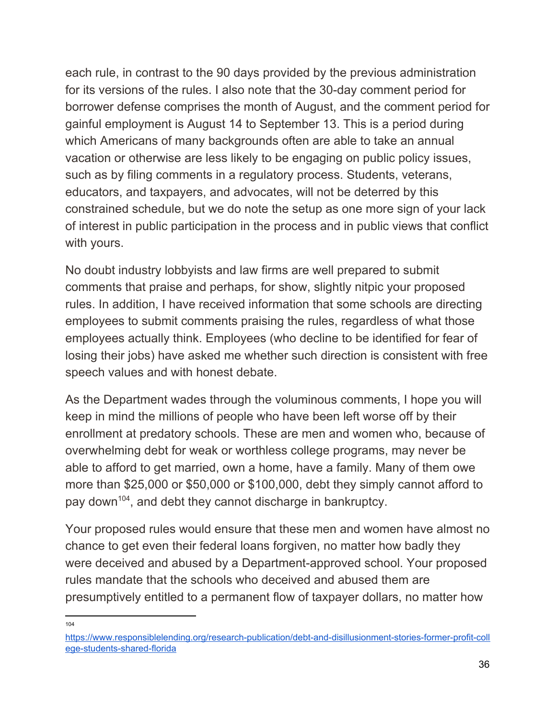each rule, in contrast to the 90 days provided by the previous administration for its versions of the rules. I also note that the 30-day comment period for borrower defense comprises the month of August, and the comment period for gainful employment is August 14 to September 13. This is a period during which Americans of many backgrounds often are able to take an annual vacation or otherwise are less likely to be engaging on public policy issues, such as by filing comments in a regulatory process. Students, veterans, educators, and taxpayers, and advocates, will not be deterred by this constrained schedule, but we do note the setup as one more sign of your lack of interest in public participation in the process and in public views that conflict with yours.

No doubt industry lobbyists and law firms are well prepared to submit comments that praise and perhaps, for show, slightly nitpic your proposed rules. In addition, I have received information that some schools are directing employees to submit comments praising the rules, regardless of what those employees actually think. Employees (who decline to be identified for fear of losing their jobs) have asked me whether such direction is consistent with free speech values and with honest debate.

As the Department wades through the voluminous comments, I hope you will keep in mind the millions of people who have been left worse off by their enrollment at predatory schools. These are men and women who, because of overwhelming debt for weak or worthless college programs, may never be able to afford to get married, own a home, have a family. Many of them owe more than \$25,000 or \$50,000 or \$100,000, debt they simply cannot afford to pay down<sup>104</sup>, and debt they cannot discharge in bankruptcy.

Your proposed rules would ensure that these men and women have almost no chance to get even their federal loans forgiven, no matter how badly they were deceived and abused by a Department-approved school. Your proposed rules mandate that the schools who deceived and abused them are presumptively entitled to a permanent flow of taxpayer dollars, no matter how

[https://www.responsiblelending.org/research-publication/debt-and-disillusionment-stories-former-profit-coll](https://www.responsiblelending.org/research-publication/debt-and-disillusionment-stories-former-profit-college-students-shared-florida) [ege-students-shared-florida](https://www.responsiblelending.org/research-publication/debt-and-disillusionment-stories-former-profit-college-students-shared-florida)